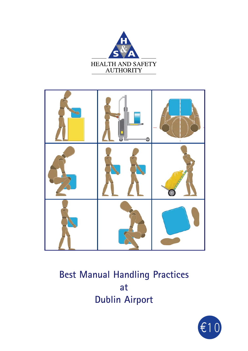



# **Best Manual Handling Practices at Dublin Airport**

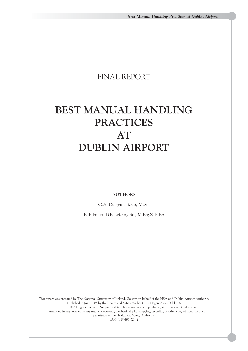# FINAL REPORT

# **BEST MANUAL HANDLING PRACTICES AT DUBLIN AIRPORT**

**AUTHORS**

C.A. Duignan B.NS, M.Sc. E. F. Fallon B.E., M.Eng.Sc., M.Erg.S, FIES

This report was prepared by The National University of Ireland, Galway on behalf of the HSA and Dublin Airport Authority Published in June 2005 by the Health and Safety Authority, 10 Hogan Place, Dublin 2. © All rights reserved. No part of this publication may be reproduced, stored in a retrieval system, or transmitted in any form or by any means, electronic, mechanical, photocopying, recording or otherwise, without the prior permission of the Health and Safety Authority. ISBN 1-84496-024-2

**1**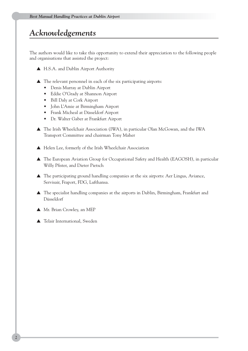# *Acknowledgements*

The authors would like to take this opportunity to extend their appreciation to the following people and organisations that assisted the project:

- ▲ H.S.A. and Dublin Airport Authority
- $\blacktriangle$  The relevant personnel in each of the six participating airports:
	- Denis Murray at Dublin Airport
	- Eddie O'Grady at Shannon Airport
	- Bill Daly at Cork Airport
	- John L'Amie at Birmingham Airport
	- Frank Micheal at Düsseldorf Airport
	- Dr. Walter Gaber at Frankfurt Airport
- ▲ The Irish Wheelchair Association (IWA), in particular Olan McGowan, and the IWA Transport Committee and chairman Tony Maher
- ▲ Helen Lee, formerly of the Irish Wheelchair Association
- ▲ The European Aviation Group for Occupational Safety and Health (EAGOSH), in particular Willy Pfister, and Dieter Pietsch
- ▲ The participating ground handling companies at the six airports: Aer Lingus, Aviance, Servisair, Fraport, FDG, Lufthansa.
- ▲ The specialist handling companies at the airports in Dublin, Birmingham, Frankfurt and Düsseldorf
- ▲ Mr. Brian Crowley, an MEP
- ▲ Telair International, Sweden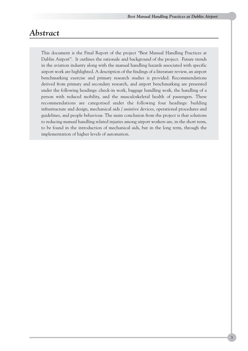# *Abstract*

This document is the Final Report of the project "Best Manual Handling Practices at Dublin Airport". It outlines the rationale and background of the project. Future trends in the aviation industry along with the manual handling hazards associated with specific airport work are highlighted. A description of the findings of a literature review, an airport benchmarking exercise and primary research studies is provided. Recommendations derived from primary and secondary research, and airport benchmarking are presented under the following headings: check-in work, baggage handling work, the handling of a person with reduced mobility, and the musculoskeletal health of passengers. These recommendations are categorised under the following four headings: building infrastructure and design, mechanical aids / assistive devices, operational procedures and guidelines, and people behaviour. The main conclusion from the project is that solutions to reducing manual handling related injuries among airport workers are, in the short term, to be found in the introduction of mechanical aids, but in the long term, through the implementation of higher levels of automation.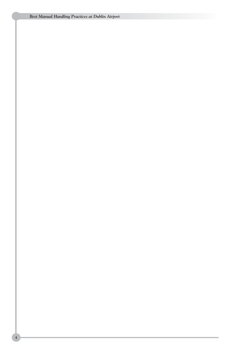*Best Manual Handling Practices at Dublin Airport*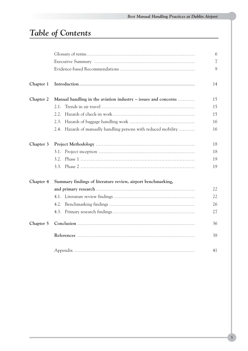# *Table of Contents*

|           |                                                                 | 6                        |
|-----------|-----------------------------------------------------------------|--------------------------|
|           |                                                                 | $\overline{\mathcal{L}}$ |
|           |                                                                 | 9                        |
| Chapter 1 |                                                                 | 14                       |
| Chapter 2 | Manual handling in the aviation industry – issues and concerns  | 15                       |
|           | 2.1.                                                            | 15                       |
|           | 2.2.                                                            | 15                       |
|           |                                                                 | 16                       |
|           | 2.4. Hazards of manually handling persons with reduced mobility | 16                       |
| Chapter 3 |                                                                 | 18                       |
|           |                                                                 | 18                       |
|           |                                                                 | 19                       |
|           |                                                                 | 19                       |
| Chapter 4 | Summary findings of literature review, airport benchmarking,    |                          |
|           |                                                                 | 22                       |
|           |                                                                 | 22                       |
|           | 4.2.                                                            | 26                       |
|           |                                                                 | 27                       |
| Chapter 5 |                                                                 | 36                       |
|           |                                                                 | 38                       |
|           |                                                                 | 41                       |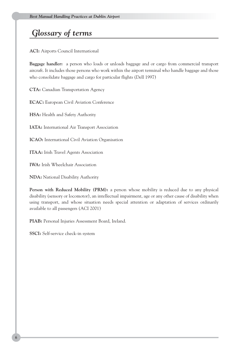# *Glossary of terms*

**ACI:** Airports Council International

**Baggage handler:** a person who loads or unloads baggage and or cargo from commercial transport aircraft. It includes those persons who work within the airport terminal who handle baggage and those who consolidate baggage and cargo for particular flights (Dell 1997)

**CTA:** Canadian Transportation Agency

**ECAC:** European Civil Aviation Conference

**HSA:** Health and Safety Authority

**IATA:** International Air Transport Association

**ICAO:** International Civil Aviation Organisation

**ITAA:** Irish Travel Agents Association

**IWA:** Irish Wheelchair Association

**NDA:** National Disability Authority

Person with Reduced Mobility (PRM): a person whose mobility is reduced due to any physical disability (sensory or locomotor), an intellectual impairment, age or any other cause of disability when using transport, and whose situation needs special attention or adaptation of services ordinarily available to all passengers (ACI 2001)

**PIAB:** Personal Injuries Assessment Board, Ireland.

**SSCI:** Self-service check-in system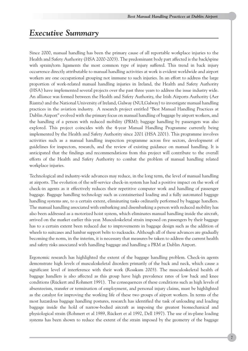# *Executive Summary*

Since 2000, manual handling has been the primary cause of all reportable workplace injuries to the Health and Safety Authority (HSA 2000-2003). The predominant body part affected is the back/spine with sprain/torn ligaments the most common type of injury suffered. This trend in back injury occurrence directly attributable to manual handling activities at work is evident worldwide and airport workers are one occupational grouping not immune to such injuries. In an effort to address the large proportion of work-related manual handling injuries in Ireland, the Health and Safety Authority (HSA) have implemented several projects over the past three years to address the issue industry wide. An alliance was formed between the Health and Safety Authority, the Irish Airports Authority (Aer Rianta) and the National University of Ireland, Galway (NUI,Galway) to investigate manual handling practices in the aviation industry. A research project entitled "Best Manual Handling Practices at Dublin Airport" evolved with the primary focus on manual handling of baggage by airport workers, and the handling of a person with reduced mobility (PRM); baggage handling by passengers was also explored. This project coincides with the 4-year Manual Handling Programme currently being implemented by the Health and Safety Authority since 2001 (HSA 2001). This programme involves activities such as a manual handling inspection programme across five sectors, development of guidelines for inspectors, research, and the review of existing guidance on manual handling. It is anticipated that the findings and recommendations from this project will contribute to the overall efforts of the Health and Safety Authority to combat the problem of manual handling related workplace injuries.

Technological and industry-wide advances may reduce, in the long term, the level of manual handling at airports. The evolution of the self-service check-in system has had a positive impact on the work of check-in agents as it effectively reduces their repetitive computer work and handling of passenger baggage. Baggage handling technology such as containerised loading and a fully automated baggage handling systems are, to a certain extent, eliminating tasks ordinarily performed by baggage handlers. The manual handling associated with embarking and disembarking a person with reduced mobility has also been addressed as a motorized hoist system, which eliminates manual handling inside the aircraft, arrived on the market earlier this year. Musculoskeletal strain imposed on passengers by their baggage has to a certain extent been reduced due to improvements in baggage design such as the addition of wheels to suitcases and lumbar support belts to rucksacks. Although all of these advances are gradually becoming the norm, in the interim, it is necessary that measures be taken to address the current health and safety risks associated with handling baggage and handling a PRM at Dublin Airport.

Ergonomic research has highlighted the extent of the baggage handling problem. Check-in agents demonstrate high levels of musculoskeletal disorders primarily of the back and neck, which cause a significant level of interference with their work (Rosskam 2003). The musculoskeletal health of baggage handlers is also affected as this group have high prevalence rates of low back and knee conditions (Rückert and Rohmert 1991). The consequences of these conditions such as high levels of absenteeism, transfer or termination of employment, and personal injury claims, must be highlighted as the catalyst for improving the working life of these two groups of airport workers. In terms of the most hazardous baggage handling postures, research has identified the task of unloading and loading baggage inside the hold of narrow-bodied aircraft as imposing the greatest biomechanical and physiological strain (Rohmert et al 1989, Rückert et al 1992, Dell 1997). The use of in-plane loading systems has been shown to reduce the extent of the strain imposed by the geometry of the baggage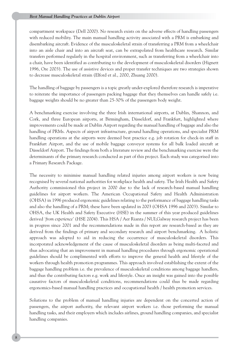compartment workspace (Dell 2000). No research exists on the adverse effects of handling passengers with reduced mobility. The main manual handling activity associated with a PRM is embarking and disembarking aircraft. Evidence of the musculoskeletal strain of transferring a PRM from a wheelchair into an aisle chair and into an aircraft seat, can be extrapolated from healthcare research. Similar transfers performed regularly in the hospital environment, such as transferring from a wheelchair into a chair, have been identified as contributing to the development of musculoskeletal disorders (Hignett 1996, Ore 2003). The use of assistive devices and proper transfer techniques are two strategies shown to decrease musculoskeletal strain (Elford et al., 2000, Zhuang 2000).

The handling of baggage by passengers is a topic greatly under-explored therefore research is imperative to reiterate the importance of passengers packing baggage that they themselves can handle safely i.e. baggage weights should be no greater than 25-30% of the passengers body weight.

A benchmarking exercise involving the three Irish international airports, at Dublin, Shannon, and Cork, and three European airports, at Birmingham, Düsseldorf, and Frankfurt, highlighted where improvements could be made at Dublin Airport regarding the manual handling of baggage and also the handling of PRMs. Aspects of airport infrastructure, ground handling operations, and specialist PRM handling operations at the airports were deemed best practice e.g. job rotation for check-in staff in Frankfurt Airport, and the use of mobile baggage conveyor systems for all bulk loaded aircraft at Düsseldorf Airport. The findings from both a literature review and the benchmarking exercise were the determinants of the primary research conducted as part of this project. Each study was categorised into a Primary Research Package.

The necessity to minimise manual handling related injuries among airport workers is now being recognised by several national authorities for workplace health and safety. The Irish Health and Safety Authority commissioned this project in 2000 due to the lack of research-based manual handling guidelines for airport workers. The American Occupational Safety and Health Administration (OHSA) in 1996 produced ergonomic guidelines relating to the performance of baggage handling tasks and also the handling of a PRM; these have been updated in 2003 (OHSA 1996 and 2003). Similar to OHSA, the UK Health and Safety Executive (HSE) in the summer of this year produced guidelines derived *'from experience'* (HSE 2004). This HSA / Aer Rianta / NUI,Galway research project has been in progress since 2001 and the recommendations made in this report are research-based as they are derived from the findings of primary and secondary research and airport benchmarking. A holistic approach was adopted to aid in reducing the occurrence of musculoskeletal disorders. This incorporated acknowledgement of the cause of musculoskeletal disorders as being multi-faceted and thus advocating that an improvement in manual handling procedures through ergonomic operational guidelines should be complimented with efforts to improve the general health and lifestyle of the workers through health promotion programmes. This approach involved establishing the extent of the baggage handling problem i.e. the prevalence of musculoskeletal conditions among baggage handlers, and thus the contributing factors e.g. work and lifestyle. Once an insight was gained into the possible causative factors of musculoskeletal conditions, recommendations could thus be made regarding ergonomics-based manual handling practices and occupational health / health promotion services.

Solutions to the problem of manual handling injuries are dependent on the concerted action of passengers, the airport authority, the relevant airport workers i.e. those performing the manual handling tasks, and their employers which includes airlines, ground handling companies, and specialist handling companies.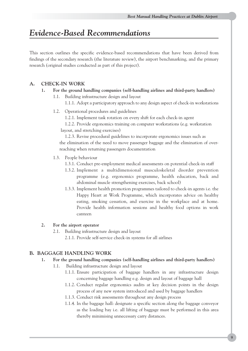# *Evidence-Based Recommendations*

This section outlines the specific evidence-based recommendations that have been derived from findings of the secondary research (the literature review), the airport benchmarking, and the primary research (original studies conducted as part of this project).

# **A. CHECK-IN WORK**

- **1. For the ground handling companies (self-handling airlines and third-party handlers)**
	- 1.1. Building infrastructure design and layout
		- 1.1.1. Adopt a participatory approach to any design aspect of check-in workstations
	- 1.2. Operational procedures and guidelines
		- 1.2.1. Implement task rotation on every shift for each check-in agent
		- 1.2.2. Provide ergonomics training on computer workstations (e.g. workstation layout, and stretching exercises)

1.2.3. Revise procedural guidelines to incorporate ergonomics issues such as the elimination of the need to move passenger baggage and the elimination of overreaching when returning passengers documentation

- 1.3. People behaviour
	- 1.3.1. Conduct pre-employment medical assessments on potential check-in staff
	- 1.3.2. Implement a multidimensional musculoskeletal disorder prevention programme (e.g. ergonomics programme, health education, back and abdominal muscle strengthening exercises, back school)
	- 1.3.3. Implement health promotion programmes tailored to check-in agents i.e. the Happy Heart at Work Programme, which incorporates advice on healthy eating, smoking cessation, and exercise in the workplace and at home. Provide health information sessions and healthy food options in work canteen

### **2. For the airport operator**

- 2.1. Building infrastructure design and layout
	- 2.1.1. Provide self-service check-in systems for all airlines

### **B. BAGGAGE HANDLING WORK**

#### **1. For the ground handling companies (self-handling airlines and third-party handlers)**

- 1.1. Building infrastructure design and layout
	- 1.1.1. Ensure participation of baggage handlers in any infrastructure design concerning baggage handling e.g. design and layout of baggage hall
	- 1.1.2. Conduct regular ergonomics audits at key decision points in the design process of any new system introduced and used by baggage handlers
	- 1.1.3. Conduct risk assessments throughout any design process
	- 1.1.4. In the baggage hall: designate a specific section along the baggage conveyor as the loading bay i.e. all lifting of baggage must be performed in this area thereby minimising unnecessary carry distances.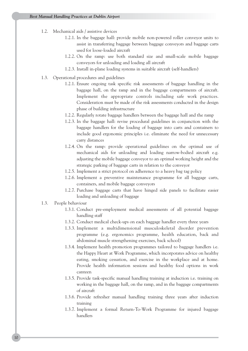- 1.2. Mechanical aids / assistive devices
	- 1.2.1. In the baggage hall: provide mobile non-powered roller conveyor units to assist in transferring baggage between baggage conveyors and baggage carts used for loose-loaded aircraft
	- 1.2.2. On the ramp: use both standard size and small-scale mobile baggage conveyors for unloading and loading all aircraft
	- 1.2.3. Install in-plane loading systems in suitable aircraft (self-handlers)
- 1.3. Operational procedures and guidelines
	- 1.2.1. Ensure ongoing task specific risk assessments of baggage handling in the baggage hall, on the ramp and in the baggage compartments of aircraft. Implement the appropriate controls including safe work practices. Consideration must be made of the risk assessments conducted in the design phase of building infrastructure
	- 1.2.2. Regularly rotate baggage handlers between the baggage hall and the ramp
	- 1.2.3. In the baggage hall: revise procedural guidelines in conjunction with the baggage handlers for the loading of baggage into carts and containers to include good ergonomic principles i.e. eliminate the need for unnecessary carry distances
	- 1.2.4. On the ramp: provide operational guidelines on the optimal use of mechanical aids for unloading and loading narrow-bodied aircraft e.g. adjusting the mobile baggage conveyor to an optimal working height and the strategic parking of baggage carts in relation to the conveyor
	- 1.2.5. Implement a strict protocol on adherence to a heavy bag tag policy
	- 1.2.6. Implement a preventive maintenance programme for all baggage carts, containers, and mobile baggage conveyors
	- 1.2.7. Purchase baggage carts that have hinged side panels to facilitate easier loading and unloading of baggage
- 1.3. People behaviour
	- 1.3.1. Conduct pre-employment medical assessments of all potential baggage handling staff
	- 1.3.2. Conduct medical check-ups on each baggage handler every three years
	- 1.3.3. Implement a multidimensional musculoskeletal disorder prevention programme (e.g. ergonomics programme, health education, back and abdominal muscle strengthening exercises, back school)
	- 1.3.4. Implement health promotion programmes tailored to baggage handlers i.e. the Happy Heart at Work Programme, which incorporates advice on healthy eating, smoking cessation, and exercise in the workplace and at home. Provide health information sessions and healthy food options in work canteen
	- 1.3.5. Provide task-specific manual handling training at induction i.e. training on working in the baggage hall, on the ramp, and in the baggage compartments of aircraft
	- 1.3.6. Provide refresher manual handling training three years after induction training
	- 1.3.7. Implement a formal Return-To-Work Programme for injured baggage handlers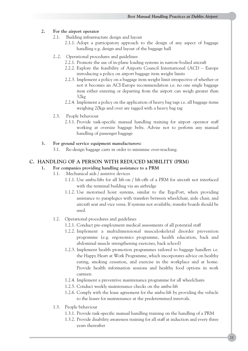### **2. For the airport operator**

- 2.1. Building infrastructure design and layout
	- 2.1.1. Adopt a participatory approach to the design of any aspect of baggage handling e.g. design and layout of the baggage hall
- 2..2. Operational procedures and guidelines
	- 2.2.1. Promote the use of in-plane loading systems in narrow-bodied aircraft
	- 2.2.2. Explore the feasibility of Airports Council International (ACI) Europe introducing a policy on airport baggage item weight limits
	- 2.2.3. Implement a policy on a baggage item weight limit irrespective of whether or not it becomes an ACI-Europe recommendation i.e. no one single baggage item either entering or departing from the airport can weigh greater than 32kg
	- 2.2.4. Implement a policy on the application of heavy bag tags i.e. all baggage items weighing 20kgs and over are tagged with a heavy bag tag
- 2.3. People behaviour
	- 2.3.1. Provide task-specific manual handling training for airport operator staff working at oversize baggage belts. Advise not to perform any manual handling of passenger baggage

### **3. For ground service equipment manufacturers:**

3.1. Re-design baggage carts in order to minimise over-reaching.

# **C. HANDLING OF A PERSON WITH REDUCED MOBILITY (PRM)**

- **1. For companies providing handling assistance to a PRM**
	- 1.1. Mechanical aids / assistive devices
		- 1.1.1. Use ambu-lifts for all lift-on / lift-offs of a PRM for aircraft not interfaced with the terminal building via an airbridge
		- 1.1.2. Use motorised hoist systems, similar to the ErgoPort, when providing assistance to paraplegics with transfers between wheelchair, aisle chair, and aircraft seat and vice versa. If systems not available, transfer boards should be used.
		- 1.2. Operational procedures and guidelines
			- 1.2.1. Conduct pre-employment medical assessments of all potential staff
			- 1.2.2. Implement a multidimensional musculoskeletal disorder prevention programme (e.g. ergonomics programme, health education, back and abdominal muscle strengthening exercises, back school)
			- 1.2.3. Implement health promotion programmes tailored to baggage handlers i.e. the Happy Heart at Work Programme, which incorporates advice on healthy eating, smoking cessation, and exercise in the workplace and at home. Provide health information sessions and healthy food options in work canteen
			- 1.2.4. Implement a preventive maintenance programme for all wheelchairs
			- 1.2.5. Conduct weekly maintenance checks on the ambu-lift
			- 1.2.6. Comply with the lease agreement for the ambu-lift by providing the vehicle to the leaser for maintenance at the predetermined intervals.
		- 1.3. People behaviour
			- 1.3.1. Provide task-specific manual handling training on the handling of a PRM
			- 1.3.2. Provide disability awareness training for all staff at induction and every three years thereafter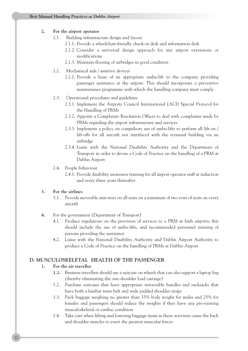### **2. For the airport operator**

- 2.1. Building infrastructure design and layout
	- 2.1.1. Provide a wheelchair-friendly check-in desk and information desk
	- 2.1.2. Consider a universal design approach for any airport extensions or modifications
	- 2.1.3. Maintain flooring of airbridges in good condition
- 2.2. Mechanical aids / assistive devices
	- 2.2.1. Provide a lease of an appropriate ambu-lift to the company providing passenger assistance at the airport. This should incorporate a preventive maintenance programme with which the handling company must comply
- 2.3. Operational procedures and guidelines
	- 2.3.1. Implement the Airports Council International (ACI) Special Protocol for the Handling of PRMs
	- 2.3.2. Appoint a Complaints Resolution Officer to deal with complaints made by PRMs regarding the airport infrastructure and services
	- 2.3.3. Implement a policy on compulsory use of ambu-lifts to perform all lift-on / lift-offs for all aircraft not interfaced with the terminal building via an airbridge
	- 2.3.4. Liaise with the National Disability Authority and the Department of Transport in order to devise a Code of Practice on the handling of a PRM at Dublin Airport
- 2.4. People behaviour
	- 2.4.1. Provide disability awareness training for all airport operator staff at induction and every three years thereafter

## **3. For the airlines**

3.1. Provide moveable arm-rests on all seats on a minimum of two rows of seats on every aircraft

### **4.** For the government (Department of Transport)

- 4.1. Produce regulations on the provision of services to a PRM at Irish airports; this should include the use of ambu-lifts, and recommended personnel training of persons providing the assistance
- 4.2. Liaise with the National Disability Authority and Dublin Airport Authority to produce a Code of Practice on the handling of PRMs at Dublin Airport

# **D. MUSCULOSKELETAL HEALTH OF THE PASSENGER**

## **1. For the air traveller**

- **1.1.** Business travellers should use a suitcase on wheels that can also support a laptop bag (thereby eliminating the one-shoulder load carriage)
- 1.2. Purchase suitcases that have appropriate retractable handles and rucksacks that have both a lumbar waist belt and wide padded shoulder straps
- 1.3. Pack baggage weighing no greater than 33% body weight for males and 25% for females and passengers should reduce the weights if they have any pre-existing musculoskeletal or cardiac condition
- 1.4. Take care when lifting and lowering baggage items as these activities cause the back and shoulder muscles to exert the greatest muscular forces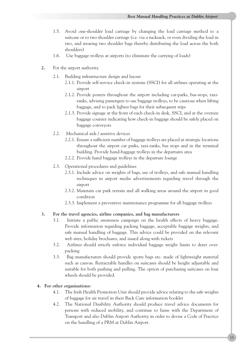- 1.5. Avoid one-shoulder load carriage by changing the load carriage method to a suitcase or to two shoulder carriage (i.e. via a rucksack, or even dividing the load in two, and wearing two shoulder bags thereby distributing the load across the both shoulders)
- 1.6. Use baggage trolleys at airports (to eliminate the carrying of loads)
- **2.** For the airport authority
	- 2.1. Building infrastructure design and layout
		- 2.1.1. Provide self-service check-in systems (SSCI) for all airlines operating at the airport
		- 2.1.2. Provide posters throughout the airport including car-parks, bus-stops, taxiranks, advising passengers to use baggage trolleys, to be cautious when lifting baggage, and to pack lighter bags for their subsequent trips
		- 2.1.3. Provide signage at the front of each check-in desk, SSCI, and at the oversize baggage counter indicating how check-in baggage should be safely placed on baggage conveyors
	- 2.2. Mechanical aids / assistive devices
		- 2.2.1. Ensure a sufficient number of baggage trolleys are placed at strategic locations throughout the airport car parks, taxi-ranks, bus stops and in the terminal building. Provide hand-baggage trolleys in the departures area
		- 2.2.2. Provide hand baggage trolleys in the departure lounge
	- 2.3. Operational procedures and guidelines
		- 2.3.1. Include advice on weights of bags, use of trolleys, and safe manual handling techniques in airport media advertisements regarding travel through the airport
		- 2.3.2. Maintain car park terrain and all walking areas around the airport in good condition
		- 2.3.3. Implement a preventive maintenance programme for all baggage trolleys

#### **3. For the travel agencies, airline companies, and bag manufacturers**

- 3.1. Initiate a public awareness campaign on the health effects of heavy baggage. Provide information regarding packing baggage, acceptable baggage weights, and safe manual handling of baggage. This advice could be provided on the relevant web sites, holiday brochures, and issued along with tickets
- 3.2. Airlines should strictly enforce individual baggage weight limits to deter overpacking
- 3.3. Bag manufacturers should provide sports bags etc. made of lightweight material such as canvas. Retractable handles on suitcases should be height adjustable and suitable for both pushing and pulling. The option of purchasing suitcases on four wheels should be provided.

#### **4. For other organisations:**

- 4.1. The Irish Health Promotion Unit should provide advice relating to the safe weights of baggage for air travel in their Back Care information booklet
- 4.2. The National Disability Authority should produce travel advice documents for persons with reduced mobility, and continue to liaise with the Department of Transport and also Dublin Airport Authority in order to devise a Code of Practice on the handling of a PRM at Dublin Airport.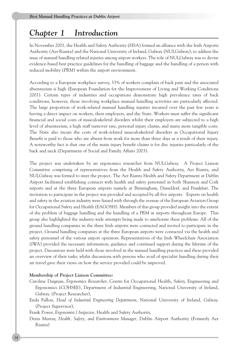# *Chapter 1 Introduction*

In November 2001, the Health and Safety Authority (HSA) formed an alliance with the Irish Airports Authority (Aer Rianta) and the National University of Ireland, Galway (NUI,Galway), to address the issue of manual handling related injuries among airport workers. The role of NUI,Galway was to devise evidence-based best practice guidelines for the handling of baggage and the handling of a person with reduced mobility (PRM) within the airport environment.

According to a European workplace survey, 33% of workers complain of back pain and the associated absenteeism is high (European Foundation for the Improvement of Living and Working Conditions 2001). Certain types of industries and occupations demonstrate high prevalence rates of back conditions, however, those involving workplace manual handling activities are particularly affected. The large proportion of work-related manual handling injuries incurred over the past few years is having a direct impact on workers, their employers, and the State. Workers must suffer the significant financial and social costs of musculoskeletal disorders whilst their employers are subjected to a high level of absenteeism, a high staff turnover rate, personal injury claims, and many more tangible costs. The State also incurs the costs of work-related musculoskeletal disorders as Occupational Injury Benefit is paid to those who are absent from work for more than three days as a result of their injury. A noteworthy fact is that one of the main injury benefit claims is for disc injuries particularly of the back and neck (Department of Social and Family Affairs 2003).

The project was undertaken by an ergonomics researcher from NUI,Galway. A Project Liaison Committee comprising of representatives from the Health and Safety Authority, Aer Rianta, and NUI,Galway was formed to steer the project. The Aer Rianta Health and Safety Department at Dublin Airport facilitated establishing contacts with health and safety personnel in both Shannon and Cork airports and at the three European airports namely at Birmingham, Düsseldorf, and Frankfurt. The invitation to participate in the project was provided and accepted by all five airports. Experts on health and safety in the aviation industry were liaised with through the avenue of the European Aviation Group for Occupational Safety and Health (EAGOSH). Members of this group provided insight into the extent of the problem of baggage handling and the handling of a PRM at airports throughout Europe. This group also highlighted the industry-wide attempts being made to ameliorate these problems. All of the ground handling companies in the three Irish airports were contacted and invited to participate in the project. Ground handling companies at the three European airports were contacted via the health and safety personnel of the various airport operators. Representatives of the Irish Wheelchair Association (IWA) provided the necessary information, guidance and continued support during the lifetime of the project. Discussions were held with those involved in the manual handling practices and these provided an overview of their tasks; whilst discussions with persons who avail of specialist handling during their air travel gave their views on how the service provided could be improved.

## **Membership of Project Liaison Committee:**

Caroline Duignan, *Ergonomics Researcher*, Centre for Occupational Health, Safety, Engineering and Ergonomics (COHSEE), Department of Industrial Engineering, National University of Ireland, Galway. (Project Researcher),

Enda Fallon, *Head of Industrial Engineering Department*, National University of Ireland, Galway. (Project Supervisor),

Frank Power, *Ergonomist / Inspector*, Health and Safety Authority,

Denis Murray, *Health, Safety, and Environment Manager*, Dublin Airport Authority (Formerly Aer Rianta)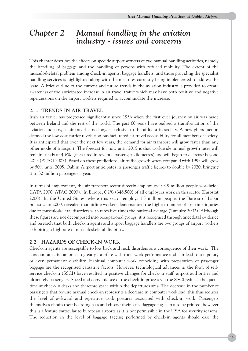# *Chapter 2 Manual handling in the aviation industry - issues and concerns*

This chapter describes the effects on specific airport workers of two manual handling activities, namely the handling of baggage and the handling of persons with reduced mobility. The extent of the musculoskeletal problem among check-in agents, baggage handlers, and those providing the specialist handling services is highlighted along with the measures currently being implemented to address the issue. A brief outline of the current and future trends in the aviation industry is provided to create awareness of the anticipated increase in air travel traffic which may have both positive and negative repercussions on the airport workers required to accommodate the increase.

# **2.1. TRENDS IN AIR TRAVEL**

Irish air travel has progressed significantly since 1936 when the first ever journey by air was made between Ireland and the rest of the world. The past 60 years have realised a transformation of the aviation industry, as air travel is no longer exclusive to the affluent in society. A new phenomenon deemed the low-cost carrier revolution has facilitated air travel accessibility for all members of society. It is anticipated that over the next few years, the demand for air transport will grow faster than any other mode of transport. The forecast for now until 2015 is that worldwide annual growth rates will remain steady at 4-6% (measured in revenue passenger kilometres) and will begin to decrease beyond 2015 (ATAG 2002). Based on these predictions, air traffic growth when compared with 1995 will grow by 50% until 2005. Dublin Airport anticipates its passenger traffic figures to double by 2020, bringing it to 32 million passengers a year.

In terms of employment, the air transport sector directly employs over 3.9 million people worldwide (IATA 2000, ATAG 2000). In Europe, 0.2% (346,500) of all employees work in this sector (Eurostat 2000). In the United States, where this sector employs 1.5 million people, the Bureau of Labor Statistics in 2000, revealed that airline workers demonstrated the highest number of lost time injuries due to musculoskeletal disorders with rates five times the national average (Tumulty 2002). Although these figures are not decomposed into occupational groups, it is recognised through anecdotal evidence and research that both check-in agents and airport baggage handlers are two groups of airport workers exhibiting a high rate of musculoskeletal disability.

# **2.2. HAZARDS OF CHECK-IN WORK**

Check-in agents are susceptible to low back and neck disorders as a consequence of their work. The concomitant discomfort can greatly interfere with their work performance and can lead to temporary or even permanent disability. Habitual computer work coinciding with preparation of passenger baggage are the recognised causative factors. However, technological advances in the form of selfservice check-in (SSCI) have resulted in positive changes for check-in staff, airport authorities and ultimately passengers. Speed and convenience of the check-in process via the SSCI reduces the queue time at check-in desks and therefore space within the departures area. The decrease in the number of passengers that require manual check-in represents a decrease in computer workload; this thus reduces the level of awkward and repetitive work postures associated with check-in work. Passengers themselves obtain their boarding pass and choose their seat. Baggage tags can also be printed, however this is a feature particular to European airports as it is not permissible in the USA for security reasons. The reduction in the level of baggage tagging performed by check-in agents should ease the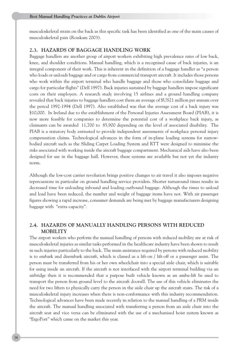musculoskeletal strain on the back as this specific task has been identified as one of the main causes of musculoskeletal pain (Rosskam 2003).

### **2.3. HAZARDS OF BAGGAGE HANDLING WORK**

Baggage handlers are another group of airport workers exhibiting high prevalence rates of low back, knee, and shoulder conditions. Manual handling, which is a recognised cause of back injuries, is an integral component of their work. This is inherent in the definition of a baggage handler as "a person who loads or unloads baggage and or cargo from commercial transport aircraft. It includes those persons who work within the airport terminal who handle baggage and those who consolidate baggage and cargo for particular flights" (Dell 1997). Back injuries sustained by baggage handlers impose significant costs on their employers. A research study involving 15 airlines and a ground handling company revealed that back injuries to baggage handlers cost them an average of \$US21 million per annum over the period 1992-1994 (Dell 1997). Also established was that the average cost of a back injury was \$10,000. In Ireland due to the establishment of the Personal Injuries Assessment Board (PIAB), it is now more feasible for companies to determine the potential cost of a workplace back injury, as claimants can be awarded 11,700 to 85,900 depending on the level of associated disability. The PIAB is a statutory body entrusted to provide independent assessments of workplace personal injury compensation claims. Technological advances in the form of in-plane loading systems for narrowbodied aircraft such as the Sliding Carpet Loading System and RTT were designed to minimise the risks associated with working inside the aircraft baggage compartment. Mechanical aids have also been designed for use in the baggage hall. However, these systems are available but not yet the industry norm.

Although the low-cost carrier revolution brings positive changes to air travel it also imposes negative repercussions in particular on ground handling service providers. Shorter turnaround times results in decreased time for unloading inbound and loading outbound baggage. Although the times to unload and load have been reduced, the number and weight of baggage items have not. With air passenger figures showing a rapid increase, consumer demands are being met by baggage manufacturers designing baggage with "extra capacity".

### **2.4. HAZARDS OF MANUALLY HANDLING PERSONS WITH REDUCED MOBILITY**

The airport workers who perform the manual handling of persons with reduced mobility are at risk of musculoskeletal injuries as similar tasks performed in the healthcare industry have been shown to result in such injuries particularly to the back. The main assistance required by persons with reduced mobility is to embark and disembark aircraft, which is classed as a lift-on / lift-off or a passenger assist. The person must be transferred from his or her own wheelchair into a special aisle chair, which is suitable for using inside an aircraft. If the aircraft is not interfaced with the airport terminal building via an airbridge then it is recommended that a purpose built vehicle known as an ambu-lift be used to transport the person from ground level to the aircraft doorsill. The use of this vehicle eliminates the need for two lifters to physically carry the person in the aisle chair up the aircraft stairs. The risk of a musculoskeletal injury increases when there is non-conformance with this industry recommendation. Technological advances have been made recently in relation to the manual handling of a PRM inside the aircraft. The manual handling associated with transferring a person from an aisle chair into the aircraft seat and vice versa can be eliminated with the use of a mechanised hoist system known as "ErgoPort" which came on the market this year.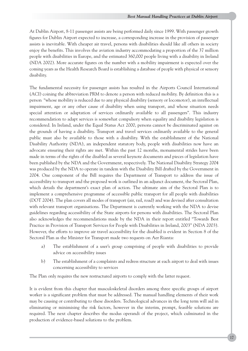At Dublin Airport, 8-11 passenger assists are being performed daily since 1999. With passenger growth figures for Dublin Airport expected to increase, a corresponding increase in the provision of passenger assists is inevitable. With cheaper air travel, persons with disabilities should like all others in society enjoy the benefits. This involves the aviation industry accommodating a proportion of the 37 million people with disabilities in Europe, and the estimated 360,000 people living with a disability in Ireland (NDA 2002). More accurate figures on the number with a mobility impairment is expected over the coming years as the Health Research Board is establishing a database of people with physical or sensory disability.

The fundamental necessity for passenger assists has resulted in the Airports Council International (ACI) coining the abbreviation PRM to denote a person with reduced mobility. By definition this is a person "whose mobility is reduced due to any physical disability (sensory or locomotor), an intellectual impairment, age or any other cause of disability when using transport, and whose situation needs special attention or adaptation of services ordinarily available to all passengers". This industry recommendation to adapt services is somewhat compulsory when equality and disability legislation is considered. In Ireland, under the Equal Status Act 2000, persons cannot be discriminated against on the grounds of having a disability. Transport and travel services ordinarily available to the general public must also be available to those with a disability. With the establishment of the National Disability Authority (NDA), an independent statutory body, people with disabilities now have an advocate ensuring their rights are met. Within the past 12 months, monumental strides have been made in terms of the rights of the disabled as several keynote documents and pieces of legislation have been published by the NDA and the Government, respectively. The National Disability Strategy 2004 was produced by the NDA to operate in tandem with the Disability Bill drafted by the Government in 2004. One component of the Bill requires the Department of Transport to address the issue of accessibility to transport and the proposed work is outlined in an adjunct document, the Sectoral Plan, which details the department's exact plan of action. The ultimate aim of the Sectoral Plan is to implement a comprehensive programme of accessible public transport for all people with disabilities (DOT 2004). The plan covers all modes of transport (air, rail, road) and was devised after consultation with relevant transport organisations. The Department is currently working with the NDA to devise guidelines regarding accessibility of the State airports for persons with disabilities. The Sectoral Plan also acknowledges the recommendations made by the NDA in their report entitled "Towards Best Practice in Provision of Transport Services for People with Disabilities in Ireland, 2003" (NDA 2003). However, the efforts to improve air travel accessibility for the disabled is evident in Section 8 of the Sectoral Plan as the Minister for Transport made two requests on Aer Rianta:

- a) The establishment of a user's group comprising of people with disabilities to provide advice on accessibility issues
- b) The establishment of a complaints and redress structure at each airport to deal with issues concerning accessibility to services

The Plan only requires the new restructured airports to comply with the latter request.

It is evident from this chapter that musculoskeletal disorders among three specific groups of airport worker is a significant problem that must be addressed. The manual handling elements of their work may be causing or contributing to these disorders. Technological advances in the long term will aid in eliminating or minimising the risk factors, however in the interim, prompt, feasible solutions are required. The next chapter describes the modus operandi of the project, which culminated in the production of evidence-based solutions to the problem.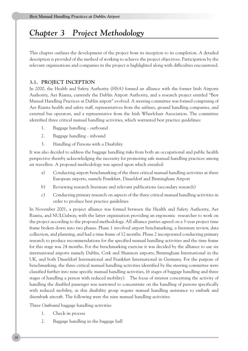# *Chapter 3 Project Methodology*

This chapter outlines the development of the project from its inception to its completion. A detailed description is provided of the method of working to achieve the project objectives. Participation by the relevant organisations and companies in the project is highlighted along with difficulties encountered.

# **3.1. PROJECT INCEPTION**

In 2000, the Health and Safety Authority (HSA) formed an alliance with the former Irish Airports Authority, Aer Rianta, currently the Dublin Airport Authority, and a research project entitled "Best Manual Handling Practices at Dublin airport" evolved. A steering committee was formed comprising of Aer Rianta health and safety staff, representatives from the airlines, ground handling companies, and external bus operators, and a representative from the Irish Wheelchair Association. The committee identified three critical manual handling activities, which warranted best practice guidelines:

- 1. Baggage handling outbound
- 2. Baggage handling inbound
- 3. Handling of Persons with a Disability

It was also decided to address the baggage handling risks from both an occupational and public health perspective thereby acknowledging the necessity for promoting safe manual handling practices among air travellers. A proposed methodology was agreed upon which entailed:

- a) Conducting airport benchmarking of the three critical manual handling activities at three European airports, namely Frankfurt, Düsseldorf and Birmingham Airport
- b) Reviewing research literature and relevant publications (secondary research)
- c) Conducting primary research on aspects of the three critical manual handling activities in order to produce best practice guidelines

In November 2001, a project alliance was formed between the Health and Safety Authority, Aer Rianta, and NUI,Galway, with the latter organisation providing an ergonomic researcher to work on the project according to the proposed methodology. All alliance parties agreed on a 3-year project time frame broken down into two phases. Phase 1 involved airport benchmarking, a literature review, data collection, and planning, and had a time frame of 12 months. Phase 2 incorporated conducting primary research to produce recommendations for the specified manual handling activities and the time frame for this stage was 24 months. For the benchmarking exercise it was decided by the alliance to use six international airports namely Dublin, Cork and Shannon airports; Birmingham International in the UK, and both Düsseldorf International and Frankfurt International in Germany. For the purpose of benchmarking, the three critical manual handling activities identified by the steering committee were classified further into nine specific manual handling activities, (6 stages of baggage handling and three stages of handling a person with reduced mobility). The focus of interest concerning the activity of handling the disabled passenger was narrowed to concentrate on the handling of persons specifically with reduced mobility, as this disability group require manual handling assistance to embark and disembark aircraft. The following were the nine manual handling activities:

Three *Outbound* baggage handling activities

- 1. Check-in process
- 2. Baggage handling in the baggage hall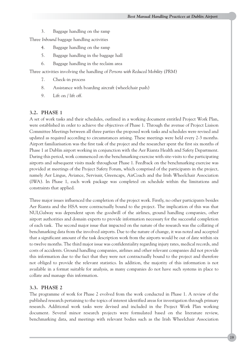3. Baggage handling on the ramp

Three *Inbound* baggage handling activities

- 4. Baggage handling on the ramp
- 5. Baggage handling in the baggage hall
- 6. Baggage handling in the reclaim area

Three activities involving the handling of *Persons with Reduced Mobility* (PRM)

- 7. Check-in process
- 8. Assistance with boarding aircraft (wheelchair push)
- 9. Lift on / lift off.

### **3.2. PHASE 1**

A set of work tasks and their schedules, outlined in a working document entitled Project Work Plan, were established in order to achieve the objectives of Phase 1. Through the avenue of Project Liaison Committee Meetings between all three parties the proposed work tasks and schedules were revised and updated as required according to circumstances arising. These meetings were held every 2-3 months. Airport familiarisation was the first task of the project and the researcher spent the first six months of Phase 1 at Dublin airport working in conjunction with the Aer Rianta Health and Safety Department. During this period, work commenced on the benchmarking exercise with site-visits to the participating airports and subsequent visits made throughout Phase 1. Feedback on the benchmarking exercise was provided at meetings of the Project Safety Forum, which comprised of the participants in the project, namely Aer Lingus, Aviance, Servisair, Greencaps, AirCoach and the Irish Wheelchair Association (IWA). In Phase 1, each work package was completed on schedule within the limitations and constraints that applied.

Three major issues influenced the completion of the project work. Firstly, no other participants besides Aer Rianta and the HSA were contractually bound to the project. The implication of this was that NUI,Galway was dependent upon the goodwill of the airlines, ground handling companies, other airport authorities and domain experts to provide information necessary for the successful completion of each task. The second major issue that impacted on the nature of the research was the collating of benchmarking data from the involved airports. Due to the nature of change, it was noted and accepted that a significant amount of the task description work from the airports would be out of date within six to twelve months. The third major issue was confidentiality regarding injury rates, medical records, and costs of accidents. Ground handling companies, airlines and other relevant companies did not provide this information due to the fact that they were not contractually bound to the project and therefore not obliged to provide the relevant statistics. In addition, the majority of this information is not available in a format suitable for analysis, as many companies do not have such systems in place to collate and manage this information.

### **3.3. PHASE 2**

The programme of work for Phase 2 evolved from the work conducted in Phase 1. A review of the published research pertaining to the topics of interest identified areas for investigation through primary research. Additional work tasks were devised and included in the Project Work Plan working document. Several minor research projects were formulated based on the literature review, benchmarking data, and meetings with relevant bodies such as the Irish Wheelchair Association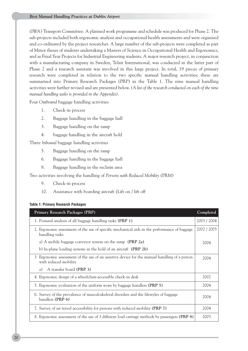(IWA) Transport Committee. A planned work programme and schedule was produced for Phase 2. The sub-projects included both ergonomic analysis and occupational health assessments and were organised and co-ordinated by the project researcher. A large number of the sub-projects were completed as part of Minor theses of students undertaking a Masters of Science in Occupational Health and Ergonomics, and as Final Year Projects for Industrial Engineering students. A major research project, in conjunction with a manufacturing company in Sweden, Telair International, was conducted in the latter part of Phase 2 and a research assistant was involved in this large project. In total, 19 pieces of primary research were completed in relation to the two specific manual handling activities; these are summarised into Primary Research Packages (PRP) in the Table 1. The nine manual handling activities were further revised and are presented below. *(A list of the research conducted on each of the nine manual handling tasks is provided in the Appendix)*.

Four *Outbound* baggage handling activities

- 1. Check-in process
- 2. Baggage handling in the baggage hall
- 3. Baggage handling on the ramp
- 4. baggage handling in the aircraft hold

Three *Inbound* baggage handling activities

- 5. Baggage handling on the ramp
- 6. Baggage handling in the baggage hall
- 8. Baggage handling in the reclaim area

Two activities involving the handling of *Persons with Reduced Mobility* (PRM)

- 9. Check-in process
- 10. Assistance with boarding aircraft (Lift on / lift off

#### **Table 1: Primary Research Packages**

| Primary Research Packages (PRP)                                                                                        |             |
|------------------------------------------------------------------------------------------------------------------------|-------------|
| 1. Postural analysis of all baggage handling tasks (PRP 1)                                                             |             |
| 2. Ergonomic assessment of the use of specific mechanical aids in the performance of baggage<br>handling tasks         | 2002 / 2003 |
| a) A mobile baggage conveyor system on the ramp (PRP 2a)                                                               | 2004        |
| b) In-plane loading systems in the hold of an aircraft (PRP 2b)                                                        |             |
| 3. Ergonomic assessment of the use of an assistive device for the manual handling of a person<br>with reduced mobility | 2004        |
| A transfer board (PRP 3)<br>a)                                                                                         |             |
| 4. Ergonomic design of a wheelchair-accessible check-in desk                                                           |             |
| 5. Ergonomic evaluation of the uniform worn by baggage handlers (PRP 5)                                                |             |
| 6. Survey of the prevalence of musculoskeletal disorders and the lifestyles of baggage<br>handlers (PRP 6)             |             |
| 7. Survey of air travel accessibility for persons with reduced mobility (PRP 7)                                        |             |
| 8. Ergonomic assessment of the use of 3 different load carriage methods by passengers (PRP 8)                          | 2003        |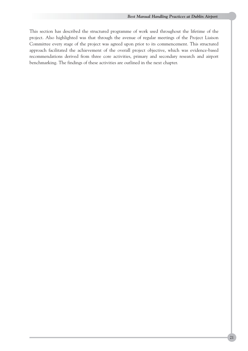This section has described the structured programme of work used throughout the lifetime of the project. Also highlighted was that through the avenue of regular meetings of the Project Liaison Committee every stage of the project was agreed upon prior to its commencement. This structured approach facilitated the achievement of the overall project objective, which was evidence-based recommendations derived from three core activities, primary and secondary research and airport benchmarking. The findings of these activities are outlined in the next chapter.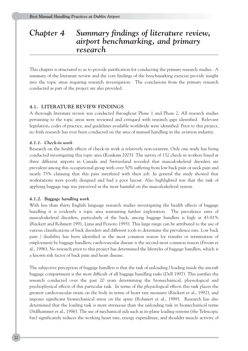# *Chapter 4 Summary findings of literature review, airport benchmarking, and primary research*

This chapter is structured so as to provide justification for conducting the primary research studies. A summary of the literature review and the core findings of the benchmarking exercise provide insight into the topic areas requiring research investigation. The conclusions from the primary research conducted as part of the project are also provided.

### **4.1. LITERATURE REVIEW FINDINGS**

A thorough literature review was conducted throughout Phase 1 and Phase 2. All research studies pertaining to the topic areas were reviewed and critiqued with research gaps identified. Relevant legislation, codes of practice, and guidelines available worldwide were identified. Prior to this project, no Irish research has ever been conducted on the area of manual handling in the aviation industry.

### *4.1.1. Check-in work*

Research on the health effects of check-in work is relatively non-existent. Only one study has being conducted investigating this topic area (Rosskam 2003). The survey of 132 check-in workers based at three different airports in Canada and Switzerland revealed that musculoskeletal disorders are prevalent among this occupational group with over 50% suffering from low back pain or neck pain and nearly 75% claiming that this pain interfered with their job. In general the study showed that workstations were poorly designed and had a poor layout. Also highlighted was that the task of applying baggage tags was perceived as the most harmful on the musculoskeletal system.

#### *4.1.2. Baggage handling work*

With less than thirty English language research studies investigating the health effects of baggage handling it is evidently a topic area warranting further exploration. The prevalence rates of musculoskeletal disorders, particularly of the back, among baggage handlers is high at 43-81% (Rückert and Rohmert 1991, Lima and Peixoto 1995). This large range can be attributed to the use of various classifications of back disorders and different tools to determine the prevalence rate. Low back pain / disability has been identified as the most common reason for transfer or termination of employment by baggage handlers; cardiovascular disease is the second most common reason (Froom et al., 1996). No research prior to this project has determined the lifestyles of baggage handlers, which is a known risk factor of back pain and heart disease.

The subjective perception of baggage handlers is that the task of unloading / loading inside the aircraft baggage compartment is the most difficult of all baggage handling tasks (Dell 1997). This justifies the research conducted over the past 20 years determining the biomechanical, physiological and psychophysical effects of this particular task. In terms of the physiological effects this task places the greatest cardiovascular strain on the body in terms of heart rate measures (Rückert et al., 1992), and imposes significant biomechanical stress on the spine (Rohmert et al., 1989). Research has also determined that the loading task is more strenuous than the unloading task in biomechanical terms (Stålhammer et al., 1986). The use of mechanical aids such as in-plane loading systems (the Telescopic bin) significantly reduces the working heart rate, energy expenditure, and shoulder muscle activity of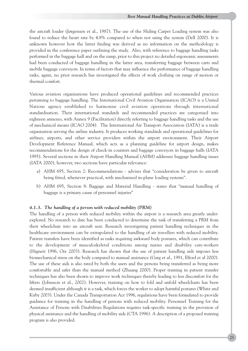the aircraft loader (Jørgensen et al., 1987). The use of the Sliding Carpet Loading system was also found to reduce the heart rate by 4.8% compared to when not using the system (Dell 2000). It is unknown however how the latter finding was derived as no information on the methodology is provided in the conference paper outlining the study. Also, with reference to baggage handling tasks performed in the baggage hall and on the ramp, prior to this project no detailed ergonomic assessments had been conducted of baggage handling in the latter area, transferring baggage between carts and mobile baggage conveyors. In terms of factors that may influence the performance of baggage handling tasks, again, no prior research has investigated the effects of work clothing on range of motion or thermal comfort.

Various aviation organisations have produced operational guidelines and recommended practices pertaining to baggage handling. The International Civil Aviation Organisation (ICAO) is a United Nations agency established to harmonise civil aviation operations through international standardisation. Their international standards and recommended practices are categorised into eighteen annexes, with Annex 9 (Facilitation) directly referring to baggage handling tasks and the use of mechanical means (ICAO 2004). The International Air Transport Association (IATA) is a trade organisation serving the airline industry. It produces working standards and operational guidelines for airlines, airports, and other service providers within the airport environment. Their Airport Development Reference Manual, which acts as a planning guideline for airport design, makes recommendations for the design of check-in counters and baggage conveyors in baggage halls (IATA 1995). Several sections in their Airport Handling Manual (AHM) addresses baggage handling issues (IATA 2000), however, two sections have particular relevance:

- a) AHM 695, Section 2: Recommendations advises that "consideration be given to aircraft being fitted, whenever practical, with mechanised in-plane loading systems".
- b) AHM 695, Section 8: Baggage and Material Handling states that "manual handling of baggage is a primary cause of personnel injuries"

#### *4.1.3. The handling of a person with reduced mobility (PRM)*

The handling of a person with reduced mobility within the airport is a research area greatly underexplored. No research to date has been conducted to determine the task of transferring a PRM from their wheelchair into an aircraft seat. Research investigating patient handling techniques in the healthcare environment can be extrapolated to the handling of air travellers with reduced mobility. Patient transfers have been identified as tasks requiring awkward body postures, which can contribute to the development of musculoskeletal conditions among nurses and disability care-workers (Hignett 1996, Ore 2003). Research has shown that the use of patient handling aids imposes less biomechanical stress on the body compared to manual assistance (Garg et al., 1991, Elford et al 2000). The use of these aids is also rated by both the users and the persons being transferred as being more comfortable and safer than the manual method (Zhuang 2000). Proper training in patient transfer techniques has also been shown to improve work techniques thereby leading to less discomfort for the lifters (Johnsson et al., 2002). However, training on how to fold and unfold wheelchairs has been deemed insufficient although it is a task, which forces the worker to adopt harmful postures (White and Kirby 2003). Under the Canada Transportation Act 1996, regulations have been formulated to provide guidance for training in the handling of persons with reduced mobility. Personnel Training for the Assistance of Persons with Disabilities Regulations requires task-specific training in the provision of physical assistance and the handling of mobility aids (CTA 1996). A description of a proposed training program is also provided.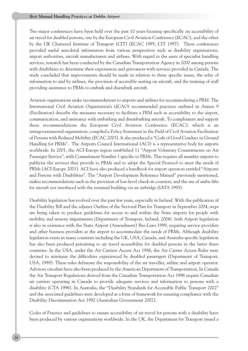Two major conferences have been held over the past 10 years focusing specifically on accessibility of air travel for disabled persons, one by the European Civil Aviation Conference (ECAC), and the other by the UK Chartered Institute of Transport (CIT) (ECAC 1995, CIT 1997). These conferences provided useful anecdotal information from various perspectives such as disability organisations, airport authorities, aircraft manufacturers and airlines. With regard to the users of specialist handling services, research has been conducted by the Canadian Transportation Agency in 2000 among persons with disabilities to determine their experiences and grievances with services provided in Canada. The study concluded that improvements should be made in relation to three specific issues, the relay of information to and by airlines, the provision of accessible seating on aircraft, and the training of staff providing assistance to PRMs to embark and disembark aircraft.

Aviation organisations make recommendations to airports and airlines for accommodating a PRM. The International Civil Aviation Organisation's (ICAO) recommended practices outlined in Annex 9 (Facilitation) describe the measures necessary to facilitate a PRM such as accessibility to the airport, communication, and assistance with embarking and disembarking aircraft. To complement and support these recommendations the European Civil Aviation Conference (ECAC), which is an intergovernmental organisation, compiled a Policy Statement in the Field of Civil Aviation Facilitation of Persons with Reduced Mobility (ECAC 2003). It also produced a "Code of Good Conduct in Ground Handling for PRMs". The Airports Council International (ACI) is a representative body for airports worldwide. In 2001, the ACI-Europe region established 11 "Airport Voluntary Commitments on Air Passenger Service", with Commitment Number 1 specific to PRMs. This requires all member airports to publicise the services they provide to PRMs and to adopt the Special Protocol to meet the needs of PRMs (ACI-Europe 2001). ACI have also produced a handbook for airport operators entitled "Airports and Persons with Disabilities". The "Airport Development Reference Manual" previously mentioned, makes recommendations such as the provision of low-level check-in counters, and the use of ambu-lifts for aircraft not interfaced with the terminal building via an airbridge (IATA 1995).

Disability legislation has evolved over the past few years, especially in Ireland. With the publication of the Disability Bill and the adjunct Outline of the Sectoral Plan for Transport in September 2004, steps are being taken to produce guidelines for access to and within the State airports for people with mobility and sensory impairments (Department of Transport, Ireland, 2004). Irish Airport legislation is also in existence with the State Airport (Amendment) Bye-Laws 1999, requiring service providers and other business providers at the airport to accommodate the needs of PRMs. Although disability legislation exists in many countries including the UK, USA, Canada, and Australia specific legislation has also been produced pertaining to air travel accessibility for disabled persons in the latter three countries. In the USA, under the Air Carriers Access Act 1986, the Air Carrier Access Rules were devised to minimise the difficulties experienced by disabled passengers (Department of Transport, USA, 1989). These rules delineate the responsibility of the air traveller, airline and airport operator. Advisory circulars have also been produced by the American Department of Transportation. In Canada the Air Transport Regulations derived from the Canadian Transportation Act 1996 require Canadian air carriers operating in Canada to provide adequate services and information to persons with a disability (CTA 1996). In Australia, the "Disability Standards for Accessible Public Transport 2002" and the associated guidelines were developed as a form of framework for ensuring compliance with the Disability Discrimination Act 1992 (Australian Government 2002).

Codes of Practice and guidelines to ensure accessibility of air travel for persons with a disability have been produced by various organisations worldwide. In the UK, the Department for Transport issued a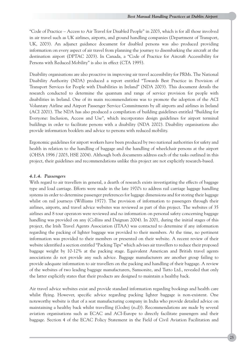"Code of Practice – Access to Air Travel for Disabled People" in 2003, which is for all those involved in air travel such as UK airlines, airports, and ground handling companies (Department of Transport, UK, 2003). An adjunct guidance document for disabled persons was also produced providing information on every aspect of air travel from planning the journey to disembarking the aircraft at the destination airport (DPTAC 2003). In Canada, a "Code of Practice for Aircraft Accessibility for Persons with Reduced Mobility" is also in effect (CTA 1995).

Disability organisations are also proactive in improving air travel accessibility for PRMs. The National Disability Authority (NDA) produced a report entitled "Towards Best Practice in Provision of Transport Services for People with Disabilities in Ireland" (NDA 2003). This document details the research conducted to determine the quantum and range of service provision for people with disabilities in Ireland. One of its main recommendations was to promote the adoption of the ACI Voluntary Airline and Airport Passenger Service Commitments by all airports and airlines in Ireland (ACI 2001). The NDA has also produced a compilation of building guidelines entitled "Building for Everyone: Inclusion, Access and Use", which incorporates design guidelines for airport terminal buildings in order to facilitate persons with a disability (NDA 2002). Disability organisations also provide information booklets and advice to persons with reduced mobility.

Ergonomic guidelines for airport workers have been produced by two national authorities for safety and health in relation to the handling of baggage and the handling of wheelchair persons at the airport (OHSA 1996 / 2003, HSE 2004). Although both documents address each of the tasks outlined in this project, their guidelines and recommendations unlike this project are not explicitly research-based.

#### *4.1.4. Passengers*

With regard to air travellers in general, a dearth of research exists investigating the effects of baggage type and load carriage. Efforts were made in the late 1970's to address rail carriage luggage handling systems in order to determine passenger preferences for luggage dimensions and for storing their luggage whilst on rail journeys (Williams 1977). The provision of information to passengers through their airlines, airports, and travel advice websites was reviewed as part of this project. The websites of 35 airlines and 8 tour operators were reviewed and no information on personal safety concerning baggage handling was provided on any (Collins and Duignan 2004). In 2001, during the initial stages of this project, the Irish Travel Agents Association (ITAA) was contacted to determine if any information regarding the packing of lighter baggage was provided to their members. At the time, no pertinent information was provided to their members or presented on their website. A recent review of their website identified a section entitled "Packing Tips" which advises air travellers to reduce their proposed baggage weight by 10-12% at the packing stage. Equivalent American and British travel agents associations do not provide any such advice. Baggage manufacturers are another group failing to provide adequate information to air travellers on the packing and handling of their baggage. A review of the websites of two leading baggage manufacturers, Samsonite, and Tutto Ltd., revealed that only the latter explicitly states that their products are designed to maintain a healthy back.

Air travel advice websites exist and provide standard information regarding bookings and health care whilst flying. However, specific advice regarding packing lighter baggage is non-existent. One noteworthy website is that of a seat manufacturing company in India who provide detailed advice on maintaining a healthy back whilst travelling (Godrej (n.d)). Recommendations are made by several aviation organisations such as ECAC and ACI-Europe to directly facilitate passengers and their baggage. Section 4 of the ECAC Policy Statement in the Field of Civil Aviation Facilitation and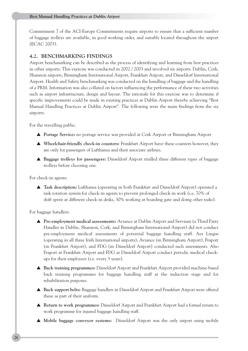Commitment 7 of the ACI-Europe Commitments require airports to ensure that a sufficient number of baggage trolleys are available, in good working order, and suitably located throughout the airport (ECAC 2003).

## **4.2. BENCHMARKING FINDINGS**

Airport benchmarking can be described as the process of identifying and learning from best practices in other airports. This exercise was conducted in 2002 / 2003 and involved six airports: Dublin, Cork, Shannon airports, Birmingham International Airport, Frankfurt Airport, and Düsseldorf International Airport. Health and Safety benchmarking was conducted on the handling of baggage and the handling of a PRM. Information was also collated on factors influencing the performance of these two activities such as airport infrastructure, design and layout. The rationale for this exercise was to determine if specific improvements could be made in existing practices at Dublin Airport thereby achieving "Best Manual Handling Practices at Dublin Airport". The following were the main findings from the six airports:

For the travelling public:

- ▲ **Portage Service:** no portage service was provided at Cork Airport or Birmingham Airport
- ▲ **Wheelchair-friendly check-in counters:** Frankfurt Airport have these counters however, they are only for passengers of Lufthansa and their associate airlines.
- ▲ **Baggage trolleys for passengers:** Düsseldorf Airport trialled three different types of baggage trolleys before choosing one.

For check-in agents:

▲ **Task description:** Lufthansa (operating in both Frankfurt and Düsseldorf Airport) operated a task rotation system for check-in agents to prevent prolonged check-in work (i.e. 70% of shift spent at different check-in desks, 30% working at boarding gate and doing other tasks).

For baggage handlers:

- ▲ **Pre-employment medical assessments:** Aviance at Dublin Airport and Servisair (a Third Party Handler in Dublin, Shannon, Cork, and Birmingham International Airport) did not conduct pre-employment medical assessments of potential baggage handling staff. Aer Lingus (operating in all three Irish International airports), Aviance (in Birmingham Airport), Fraport (in Frankfurt Airport), and FDG (in Düsseldorf Airport) conducted such assessments. Also Fraport at Frankfurt Airport and FDG at Düsseldorf Airport conduct periodic medical checkups for their employees (i.e. every 3 years).
- ▲ **Back training programmes:** Düsseldorf Airport and Frankfurt Airport provided machine-based back training programmes for baggage handling staff at the induction stage and for rehabilitation purposes.
- ▲ **Back support belts:** Baggage handlers in Düsseldorf Airport and Frankfurt Airport were offered these as part of their uniform.
- ▲ **Return to work programmes:** Düsseldorf Airport and Frankfurt Airport had a formal return to work programme for injured baggage handling staff.
- ▲ **Mobile baggage conveyor systems:** Düsseldorf Airport was the only airport using mobile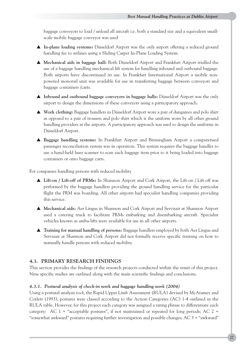baggage conveyors to load / unload all aircraft i.e. both a standard size and a equivalent smallscale mobile baggage conveyor was used

- ▲ **In-plane loading systems:** Düsseldorf Airport was the only airport offering a reduced ground handling fee to airlines using a Sliding Carpet In-Plane Loading System.
- ▲ **Mechanical aids in baggage hall:** Both Düsseldorf Airport and Frankfurt Airport trialled the use of a baggage handling mechanical lift system for handling inbound and outbound baggage. Both airports have discontinued its use. In Frankfurt International Airport a mobile nonpowered monorail unit was available for use in transferring baggage between conveyors and baggage containers /carts.
- ▲ **Inbound and outbound baggage conveyors in baggage halls:** Düsseldorf Airport was the only airport to design the dimensions of these conveyors using a participatory approach.
- ▲ **Work clothing:** Baggage handlers in Düsseldorf Airport wore a pair of dungarees and polo shirt as opposed to a pair of trousers and polo shirt which is the uniform worn by all other ground handling providers at the airports. A participatory approach was used to design the uniforms in Düsseldorf Airport.
- ▲ **Baggage handling systems:** In Frankfurt Airport and Birmingham Airport a computerised passenger reconciliation system was in operation. This system requires the baggage handler to use a hand-held laser scanner to scan each baggage item prior to it being loaded into baggage containers or onto baggage carts.

For companies handling persons with reduced mobility

- ▲ **Lift-on / Lift-off of PRMs:** In Shannon Airport and Cork Airport, the Lift-on / Lift-off was performed by the baggage handlers providing the ground handling service for the particular flight the PRM was boarding. All other airports had specialist handling companies providing this service.
- ▲ **Mechanical aids:** Aer Lingus in Shannon and Cork Airport and Servisair at Shannon Airport used a catering truck to facilitate PRMs embarking and disembarking aircraft. Specialist vehicles known as ambu-lifts were available for use in all other airports.
- ▲ **Training for manual handling of persons:** Baggage handlers employed by both Aer Lingus and Servisair at Shannon and Cork Airport did not formally receive specific training on how to manually handle persons with reduced mobility.

### **4.3. PRIMARY RESEARCH FINDINGS**

This section provides the findings of the research projects conducted within the remit of this project. Nine specific studies are outlined along with the main scientific findings and conclusions.

#### *4.3.1. Postural analysis of check-in work and baggage handling work (2004)*

Using a postural analysis tool, the Rapid Upper Limb Assessment (RULA) devised by McAtamey and Corlett (1993), postures were classed according to the Action Categories (AC) 1-4 outlined in the RULA table. However, for this project each category was assigned a rating phrase to differentiate each category: AC  $1$  = "acceptable postures", if not maintained or repeated for long periods; AC  $2$  = "somewhat awkward" postures requiring further investigation and possible changes; AC 3 = "awkward"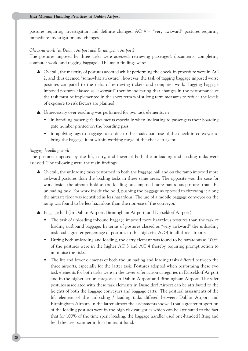postures requiring investigation and definite changes;  $AC = 4$  = "very awkward" postures requiring immediate investigation and changes.

### *Check-in work (at Dublin Airport and Birmingham Airport)*

The postures imposed by three tasks were assessed: retrieving passenger's documents, completing computer work, and tagging baggage. The main findings were:

- ▲ Overall, the majority of postures adopted whilst performing the check-in procedure were in AC 2, and thus deemed "somewhat awkward", however, the task of tagging baggage imposed worse postures compared to the tasks of retrieving tickets and computer work. Tagging baggage imposed postures classed as "awkward" thereby indicating that changes in the performance of the task must be implemented in the short term whilst long term measures to reduce the levels of exposure to risk factors are planned.
- ▲ Unnecessary over reaching was performed for two task elements, i.e.
	- in handling passenger's documents especially when indicating to passengers their boarding gate number printed on the boarding pass.
	- in applying tags to baggage items due to the inadequate use of the check-in conveyor to bring the baggage item within working range of the check-in agent

#### *Baggage handling work*

The postures imposed by the lift, carry, and lower of both the unloading and loading tasks were assessed. The following were the main findings:

- ▲ Overall, the unloading tasks performed in both the baggage hall and on the ramp imposed more awkward postures than the loading tasks in these same areas. The opposite was the case for work inside the aircraft hold as the loading task imposed more hazardous postures than the unloading task. For work inside the hold, pushing the baggage as opposed to throwing it along the aircraft floor was identified as less hazardous. The use of a mobile baggage conveyor on the ramp was found to be less hazardous than the non-use of the conveyor.
- ▲ Baggage hall (In Dublin Airport, Birmingham Airport, and Düsseldorf Airport)
	- The task of unloading inbound baggage imposed more hazardous postures than the task of loading outbound baggage. In terms of postures classed as "very awkward" the unloading task had a greater percentage of postures in this high risk AC 4 in all three airports.
	- During both unloading and loading, the carry element was found to be hazardous as 100% of the postures were in the higher AC 3 and AC 4 thereby requiring prompt action to minimise the risks.
	- The lift and lower elements of both the unloading and loading tasks differed between the three airports, especially for the latter task. Postures adopted when performing these two task elements for both tasks were in the lower safer action categories in Düsseldorf Airport and in the higher action categories in Dublin Airport and Birmingham Airport. The safer postures associated with these task elements in Düsseldorf Airport can be attributed to the heights of both the baggage conveyors and baggage carts. The postural assessments of the lift element of the unloading / loading tasks differed between Dublin Airport and Birmingham Airport. In the latter airport the assessments showed that a greater proportion of the loading postures were in the high risk categories which can be attributed to the fact that for 100% of the time spent loading, the baggage handler used one-handed lifting and held the laser scanner in his dominant hand.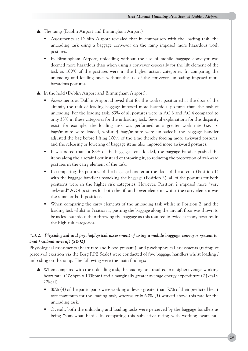▲ The ramp (Dublin Airport and Birmingham Airport)

- Assessments at Dublin Airport revealed that in comparison with the loading task, the unloading task using a baggage conveyor on the ramp imposed more hazardous work postures.
- In Birmingham Airport, unloading without the use of mobile baggage conveyor was deemed more hazardous than when using a conveyor especially for the lift element of the task as 100% of the postures were in the higher action categories. In comparing the unloading and loading tasks without the use of the conveyor, unloading imposed more hazardous postures.
- ▲ In the hold (Dublin Airport and Birmingham Airport):
	- Assessments at Dublin Airport showed that for the worker positioned at the door of the aircraft, the task of loading baggage imposed more hazardous postures than the task of unloading. For the loading task, 83% of all postures were in AC 3 and AC 4 compared to only 38% in these categories for the unloading task. Several explanations for this disparity exist, for example, the loading task was performed at a greater work rate (i.e. 16 bags/minute were loaded, whilst 4 bags/minute were unloaded); the baggage handler adjusted the bag before lifting 100% of the time thereby forcing more awkward postures, and the releasing or lowering of baggage items also imposed more awkward postures.
	- It was noted that for 88% of the baggage items loaded, the baggage handler pushed the items along the aircraft floor instead of throwing it, so reducing the proportion of awkward postures in the carry element of the task.
	- In comparing the postures of the baggage handler at the door of the aircraft (Position 1) with the baggage handler unstacking the baggage (Position 2), all of the postures for both positions were in the higher risk categories. However, Position 2 imposed more "very awkward" AC 4 postures for both the lift and lower elements whilst the carry element was the same for both positions.
	- When comparing the carry elements of the unloading task whilst in Position 2, and the loading task whilst in Position 1, pushing the baggage along the aircraft floor was shown to be as less hazardous than throwing the baggage as this resulted in twice as many postures in the high risk categories.

## *4.3.2. Physiological and psychophysical assessment of using a mobile baggage conveyor system to load / unload aircraft (2002)*

Physiological assessments (heart rate and blood pressure), and psychophysical assessments (ratings of perceived exertion via the Borg RPE Scale) were conducted of five baggage handlers whilst loading / unloading on the ramp. The following were the main findings:

- $\blacktriangle$  When compared with the unloading task, the loading task resulted in a higher average working heart rate (108bpm v 103bpm) and a marginally greater average energy expenditure (24kcal v 22kcal).
	- 80% (4) of the participants were working at levels greater than 50% of their predicted heart rate maximum for the loading task, whereas only 60% (3) worked above this rate for the unloading task.
	- Overall, both the unloading and loading tasks were perceived by the baggage handlers as being "somewhat hard". In comparing this subjective rating with working heart rate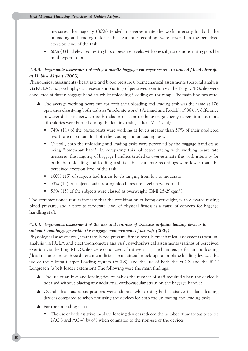measures, the majority (80%) tended to over-estimate the work intensity for both the unloading and loading task i.e. the heart rate recordings were lower than the perceived exertion level of the task.

• 60% (3) had elevated resting blood pressure levels, with one subject demonstrating possible mild hypertension.

### *4.3.3. Ergonomic assessment of using a mobile baggage conveyor system to unload / load aircraft at Dublin Airport (2003)*

Physiological assessments (heart rate and blood pressure), biomechanical assessments (postural analysis via RULA) and psychophysical assessments (ratings of perceived exertion via the Borg RPE Scale) were conducted of fifteen baggage handlers whilst unloading / loading on the ramp. The main findings were:

- $\blacktriangle$  The average working heart rate for both the unloading and loading task was the same at 106 bpm thus classifying both tasks as "moderate work" (Åstrand and Rodahl, 1986). A difference however did exist between both tasks in relation to the average energy expenditure as more kilocalories were burned during the loading task (53 kcal V 37 kcal).
	- 74% (11) of the participants were working at levels greater than 50% of their predicted heart rate maximum for both the loading and unloading task.
	- Overall, both the unloading and loading tasks were perceived by the baggage handlers as being "somewhat hard". In comparing this subjective rating with working heart rate measures, the majority of baggage handlers tended to over-estimate the work intensity for both the unloading and loading task i.e. the heart rate recordings were lower than the perceived exertion level of the task.
	- 100% (15) of subjects had fitness levels ranging from low to moderate
	- 53% (15) of subjects had a resting blood pressure level above normal
	- 53% (15) of the subjects were classed as overweight (BMI 25-29 kgm<sup>2</sup>).

The aforementioned results indicate that the combination of being overweight, with elevated resting blood pressure, and a poor to moderate level of physical fitness is a cause of concern for baggage handling staff.

# *4.3.4. Ergonomic assessment of the use and non-use of assistive in-plane loading devices to unload / load baggage inside the baggage compartment of aircraft (2004)*

Physiological assessments (heart rate, blood pressure, fitness test), biomechanical assessments (postural analysis via RULA and electrogoniometer analysis), psychophysical assessments (ratings of perceived exertion via the Borg RPE Scale) were conducted of thirteen baggage handlers performing unloading / loading tasks under three different conditions in an aircraft mock-up: no in-plane loading devices, the use of the Sliding Carpet Loading System (SCLS), and the use of both the SCLS and the RTT Longreach (a belt loader extension).The following were the main findings:

- ▲ The use of an in-plane loading device halves the number of staff required when the device is not used without placing any additional cardiovascular strain on the baggage handler
- ▲ Overall, less hazardous postures were adopted when using both assistive in-plane loading devices compared to when not using the devices for both the unloading and loading tasks
- $\blacktriangle$  For the unloading task:
	- The use of both assistive in-plane loading devices reduced the number of hazardous postures (AC 3 and AC 4) by 8% when compared to the non-use of the devices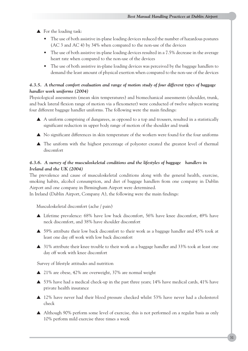- ▲ For the loading task:
	- The use of both assistive in-plane loading devices reduced the number of hazardous postures (AC 3 and AC 4) by 34% when compared to the non-use of the devices
	- The use of both assistive in-plane loading devices resulted in a 7.5% decrease in the average heart rate when compared to the non-use of the devices
	- The use of both assistive in-plane loading devices was perceived by the baggage handlers to demand the least amount of physical exertion when compared to the non-use of the devices

### *4.3.5. A thermal comfort evaluation and range of motion study of four different types of baggage handler work uniforms (2004)*

Physiological assessments (mean skin temperatures) and biomechanical assessments (shoulder, trunk, and back lateral flexion range of motion via a flexometer) were conducted of twelve subjects wearing four different baggage handler uniforms. The following were the main findings:

- ▲ A uniform comprising of dungarees, as opposed to a top and trousers, resulted in a statistically significant reduction in upper body range of motion of the shoulder and trunk
- ▲ No significant differences in skin temperature of the workers were found for the four uniforms
- ▲ The uniform with the highest percentage of polyester created the greatest level of thermal discomfort

## *4.3.6. A survey of the musculoskeletal conditions and the lifestyles of baggage handlers in Ireland and the UK (2004)*

The prevalence and cause of musculoskeletal conditions along with the general health, exercise, smoking habits, alcohol consumption, and diet of baggage handlers from one company in Dublin Airport and one company in Birmingham Airport were determined.

In Ireland (Dublin Airport, Company A), the following were the main findings:

Musculoskeletal discomfort (ache / pain)

- ▲ Lifetime prevalence: 68% have low back discomfort, 56% have knee discomfort, 49% have neck discomfort, and 38% have shoulder discomfort
- ▲ 59% attribute their low back discomfort to their work as a baggage handler and 45% took at least one day off work with low back discomfort
- ▲ 31% attribute their knee trouble to their work as a baggage handler and 33% took at least one day off work with knee discomfort

Survey of lifestyle attitudes and nutrition

- ▲ 21% are obese, 42% are overweight, 37% are normal weight
- ▲ 53% have had a medical check-up in the past three years; 14% have medical cards, 41% have private health insurance
- ▲ 12% have never had their blood pressure checked whilst 53% have never had a cholesterol check
- ▲ Although 90% perform some level of exercise, this is not performed on a regular basis as only 10% perform mild exercise three times a week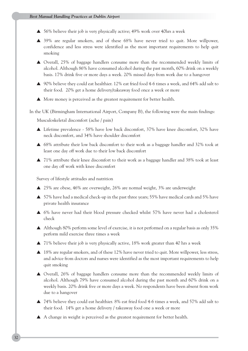- ▲ 56% believe their job is very physically active; 49% work over 40hrs a week
- ▲ 39% are regular smokers, and of these 68% have never tried to quit. More willpower, confidence and less stress were identified as the most important requirements to help quit smoking
- ▲ Overall, 25% of baggage handlers consume more than the recommended weekly limits of alcohol. Although 86% have consumed alcohol during the past month, 60% drink on a weekly basis. 17% drink five or more days a week. 20% missed days from work due to a hangover
- ▲ 90% believe they could eat healthier. 12% eat fried food 4-6 times a week, and 64% add salt to their food. 20% get a home delivery/takeaway food once a week or more
- ▲ More money is perceived as the greatest requirement for better health.

In the UK (Birmingham International Airport, Company B), the following were the main findings:

Musculoskeletal discomfort (ache / pain)

- ▲ Lifetime prevalence 58% have low back discomfort, 37% have knee discomfort, 32% have neck discomfort, and 34% have shoulder discomfort
- ▲ 68% attribute their low back discomfort to their work as a baggage handler and 32% took at least one day off work due to their low back discomfort
- ▲ 71% attribute their knee discomfort to their work as a baggage handler and 38% took at least one day off work with knee discomfort

Survey of lifestyle attitudes and nutrition

- ▲ 25% are obese, 46% are overweight, 26% are normal weight, 3% are underweight
- ▲ 57% have had a medical check-up in the past three years; 55% have medical cards and 5% have private health insurance
- ▲ 6% have never had their blood pressure checked whilst 57% have never had a cholesterol check
- ▲ Although 80% perform some level of exercise, it is not performed on a regular basis as only 35% perform mild exercise three times a week
- ▲ 71% believe their job is very physically active, 18% work greater than 40 hrs a week
- ▲ 18% are regular smokers, and of these 12% have never tried to quit. More willpower, less stress, and advice from doctors and nurses were identified as the most important requirements to help quit smoking
- ▲ Overall, 26% of baggage handlers consume more than the recommended weekly limits of alcohol. Although 79% have consumed alcohol during the past month and 60% drink on a weekly basis. 20% drink five or more days a week. No respondents have been absent from work due to a hangover
- ▲ 74% believe they could eat healthier. 8% eat fried food 4-6 times a week, and 57% add salt to their food. 14% get a home delivery / takeaway food one a week or more
- ▲ A change in weight is perceived as the greatest requirement for better health.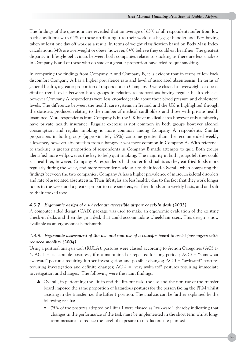The findings of the questionnaire revealed that an average of 63% of all respondents suffer from low back conditions with 64% of those attributing it to their work as a baggage handler and 39% having taken at least one day off work as a result. In terms of weight classification based on Body Mass Index calculations, 34% are overweight or obese, however, 84% believe they could eat healthier. The greatest disparity in lifestyle behaviours between both companies relates to smoking as there are less smokers in Company B and of those who do smoke a greater proportion have tried to quit smoking.

In comparing the findings from Company A and Company B, it is evident that in terms of low back discomfort Company A has a higher prevalence rate and level of associated absenteeism. In terms of general health, a greater proportion of respondents in Company B were classed as overweight or obese. Similar trends exist between both groups in relation to proportions having regular health checks, however Company A respondents were less knowledgeable about their blood pressure and cholesterol levels. The difference between the health care systems in Ireland and the UK is highlighted through the statistics produced relating to the number of medical cardholders and those with private health insurance. More respondents from Company B in the UK have medical cards however only a minority have private health insurance. Regular exercise is not common in both groups however alcohol consumption and regular smoking is more common among Company A respondents. Similar proportions in both groups (approximately 25%) consume greater than the recommended weekly allowance, however absenteeism from a hangover was more common in Company A. With reference to smoking, a greater proportion of respondents in Company B made attempts to quit. Both groups identified more willpower as the key to help quit smoking. The majority in both groups felt they could eat healthier, however, Company A respondents had poorer food habits as they eat fried foods more regularly during the week, and more respondents add salt to their food. Overall, when comparing the findings between the two companies, Company A has a higher prevalence of musculoskeletal disorders and rate of associated absenteeism. Their lifestyles are less healthy due to the fact that they work longer hours in the week and a greater proportion are smokers, eat fried foods on a weekly basis, and add salt to their cooked food.

## *4.3.7. Ergonomic design of a wheelchair accessible airport check-in desk (2002)*

A computer aided design (CAD) package was used to make an ergonomic evaluation of the existing check-in desks and then design a desk that could accommodate wheelchair users. This design is now available as an ergonomics benchmark.

# *4.3.8. Ergonomic assessment of the use and non-use of a transfer board to assist passengers with reduced mobility (2004)*

Using a postural analysis tool (RULA), postures were classed according to Action Categories (AC) 1- 4. AC 1 = "acceptable postures", if not maintained or repeated for long periods; AC 2 = "somewhat awkward" postures requiring further investigation and possible changes; AC 3 = "awkward" postures requiring investigation and definite changes; AC 4 = "very awkward" postures requiring immediate investigation and changes. The following were the main findings:

- ▲ Overall, in performing the lift-in and the lift-out task, the use and the non-use of the transfer board imposed the same proportion of hazardous postures for the person facing the PRM whilst assisting in the transfer, i.e. the Lifter 1 position. The analysis can be further explained by the following results:
	- 75% of the postures adopted by Lifter 1 were classed as "awkward", thereby indicating that changes in the performance of the task must be implemented in the short term whilst longterm measures to reduce the level of exposure to risk factors are planned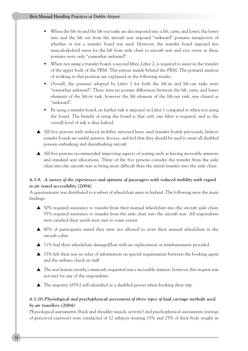- When the lift-in and the lift-out tasks are decomposed into a lift, carry, and lower, the lower into and the lift out from the aircraft seat imposed "awkward" postures irrespective of whether or not a transfer board was used. However, the transfer board imposed less musculoskeletal stress for the lift from aisle chair to aircraft seat and vice versa, as these postures were only "somewhat awkward".
- When not using a transfer board, a second lifter, Lifter 2, is required to assist in the transfer of the upper body of the PRM. This person stands behind the PRM. The postural analysis of working in this position are explained in the following results:
- Overall, the postures adopted by Lifter 2 for both the lift-in and lift-out tasks were "somewhat awkward". There were no posture differences between the lift, carry, and lower elements of the lift-in task, however the lift element of the lift-out task, was classed as "awkward".
- By using a transfer board, no further risk is imposed on Lifter 1 compared to when not using the board. The benefit of using the board is that only one lifter is required, and so the overall level of risk is thus halved.
- ▲ All five persons with reduced mobility surveyed have used transfer boards previously, believe transfer boards are useful assistive devices, and feel that they should be used to assist all disabled persons embarking and disembarking aircraft
- ▲ All five persons recommended improving aspects of seating such as having moveable armrests and standard seat allocations. Three of the five persons consider the transfer from the aisle chair into the aircraft seat as being more difficult than the initial transfer into the aisle chair.

# *4.3.9. A survey of the experiences and opinions of passengers with reduced mobility with regard to air travel accessibility (2004)*

A questionnaire was distributed to a subset of wheelchair users in Ireland. The following were the main findings:

- ▲ 50% required assistance to transfer from their manual wheelchair into the aircraft aisle chair; 55% required assistance to transfer from the aisle chair into the aircraft seat. All respondents were satisfied their needs were met to some extent
- ▲ 80% of participants stated they were not allowed to store their manual wheelchair in the aircraft cabin
- ▲ 11% had their wheelchair damaged/lost with no replacement or reimbursement provided
- ▲ 15% felt their was no relay of information on special requirements between the booking agent and the airlines check-in staff
- ▲ The seat feature mostly commonly requested was a moveable armrest, however, this request was not met for any of the respondents
- $\blacktriangle$  The majority (85%) self-identified as a disabled person when booking their trip.

## *4.3.10.Physiological and psychophysical assessment of three types of load carriage methods used by air travellers (2004)*

Physiological assessments (back and shoulder muscle activity) and psychophysical assessments (ratings of perceived exertion) were conducted of 12 subjects wearing 15% and 25% of their body weight in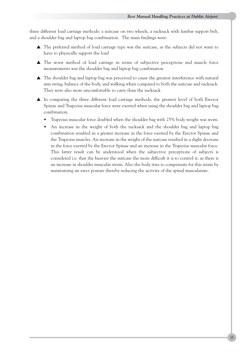three different load carriage methods: a suitcase on two wheels, a rucksack with lumbar support belt, and a shoulder bag and laptop bag combination. The main findings were:

- ▲ The preferred method of load carriage type was the suitcase, as the subjects did not want to have to physically support the load
- ▲ The worst method of load carriage in terms of subjective perceptions and muscle force measurements was the shoulder bag and laptop bag combination
- ▲ The shoulder bag and laptop bag was perceived to cause the greatest interference with natural arm swing, balance of the body, and walking when compared to both the suitcase and rucksack. They were also more uncomfortable to carry than the rucksack
- ▲ In comparing the three different load carriage methods, the greatest level of both Erector Spinae and Trapezius muscular force were exerted when using the shoulder bag and laptop bag combination.
	- Trapezius muscular force doubled when the shoulder bag with 25% body weight was worn.
	- An increase in the weight of both the rucksack and the shoulder bag and laptop bag combination resulted in a greater increase in the force exerted by the Erector Spinae and the Trapezius muscles. An increase in the weight of the suitcase resulted in a slight decrease in the force exerted by the Erector Spinae and an increase in the Trapezius muscular force. This latter result can be understood when the subjective perceptions of subjects is considered i.e. that the heavier the suitcase the more difficult it is to control it, as there is an increase in shoulder muscular strain. Also the body tries to compensate for this strain by maintaining an erect posture thereby reducing the activity of the spinal musculature.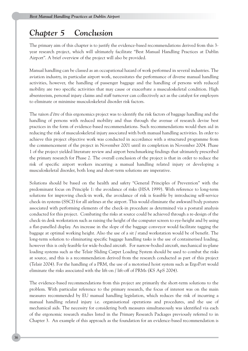# *Chapter 5 Conclusion*

The primary aim of this chapter is to justify the evidence-based recommendations derived from this 3 year research project, which will ultimately facilitate "Best Manual Handling Practices at Dublin Airport". A brief overview of the project will also be provided.

Manual handling can be classed as an occupational hazard of work performed in several industries. The aviation industry, in particular airport work, necessitates the performance of diverse manual handling activities, however, the handling of passenger baggage and the handling of persons with reduced mobility are two specific activities that may cause or exacerbate a musculoskeletal condition. High absenteeism, personal injury claims and staff turnover can collectively act as the catalyst for employers to eliminate or minimise musculoskeletal disorder risk factors.

The *raison d'être* of this ergonomics project was to identify the risk factors of baggage handling and the handling of persons with reduced mobility and thus through the avenue of research devise best practices in the form of evidence-based recommendations. Such recommendations would then aid in reducing the risk of musculoskeletal injury associated with both manual handling activities. In order to achieve this project objective work was conducted in accordance with a structured programme from the commencement of the project in November 2001 until its completion in November 2004. Phase 1 of the project yielded literature review and airport benchmarking findings that ultimately prescribed the primary research for Phase 2. The overall conclusion of the project is that in order to reduce the risk of specific airport workers incurring a manual handling related injury or developing a musculoskeletal disorder, both long and short-term solutions are imperative.

Solutions should be based on the health and safety "General Principles of Prevention" with the predominant focus on Principle 1: the avoidance of risks (HSA 1999). With reference to long-term solutions for improving check-in work, the avoidance of risk is feasible by introducing self-service check-in systems (SSCI) for all airlines at the airport. This would eliminate the awkward body postures associated with performing elements of the check-in procedure as determined via a postural analysis conducted for this project. Combating the risks at source could be achieved through a re-design of the check-in desk workstation such as raising the height of the computer screen to eye-height and by using a flat-panelled display. An increase in the slope of the baggage conveyor would facilitate tagging the baggage at optimal working height. Also the use of a sit / stand workstation would be of benefit. The long-term solution to eliminating specific baggage handling tasks is the use of containerised loading, however this is only feasible for wide-bodied aircraft. For narrow-bodied aircraft, mechanical in-plane loading systems such as the Telair Sliding Carpet Loading System should be used to combat the risks at source, and this is a recommendation derived from the research conducted as part of this project (Telair 2004). For the handling of a PRM, the use of a motorised hoist system such as ErgoPort would eliminate the risks associated with the lift-on / lift-off of PRMs (KS ApS 2004).

The evidence-based recommendations from this project are primarily the short-term solutions to the problem. With particular reference to the primary research, the focus of interest was on the main measures recommended by EU manual handling legislation, which reduces the risk of incurring a manual handling related injury i.e. organisational operations and procedures, and the use of mechanical aids. The necessity for considering both measures simultaneously was identified via each of the ergonomic research studies listed in the Primary Research Packages previously referred to in Chapter 3. An example of this approach as the foundation for an evidence-based recommendation is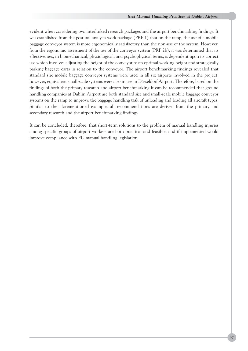evident when considering two interlinked research packages and the airport benchmarking findings. It was established from the postural analysis work package (PRP 1) that on the ramp, the use of a mobile baggage conveyor system is more ergonomically satisfactory than the non-use of the system. However, from the ergonomic assessment of the use of the conveyor system (PRP 2b), it was determined that its effectiveness, in biomechanical, physiological, and psychophysical terms, is dependent upon its correct use which involves adjusting the height of the conveyor to an optimal working height and strategically parking baggage carts in relation to the conveyor. The airport benchmarking findings revealed that standard size mobile baggage conveyor systems were used in all six airports involved in the project, however, equivalent small-scale systems were also in use in Düsseldorf Airport. Therefore, based on the findings of both the primary research and airport benchmarking it can be recommended that ground handling companies at Dublin Airport use both standard size and small-scale mobile baggage conveyor systems on the ramp to improve the baggage handling task of unloading and loading all aircraft types. Similar to the aforementioned example, all recommendations are derived from the primary and secondary research and the airport benchmarking findings.

It can be concluded, therefore, that short-term solutions to the problem of manual handling injuries among specific groups of airport workers are both practical and feasible, and if implemented would improve compliance with EU manual handling legislation.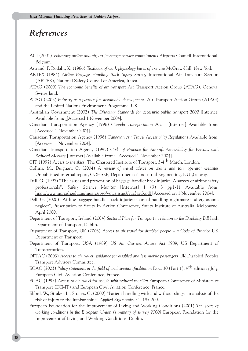# *References*

- ACI (2001) *Voluntary airline and airport passenger service commitments* Airports Council International, Belgium.
- Astrand, P. Rodahl, K. (1986) *Textbook of work physiology bases of exercise* McGraw-Hill, New York.
- ARTEX (1984) *Airline Baggage Handling Back Injury Survey* International Air Transport Section (ARTEX), National Safety Council of America, Itasca.
- ATAG (2000) *The economic benefits of air transport* Air Transport Action Group (ATAG), Geneva, Switzerland.
- ATAG (2002) *Industry as a partner for sustainable development* Air Transport Action Group (ATAG) and the United Nations Environment Programme, UK.
- Australian Government (2002) *The Disability Standards for accessible public transport 2002* [Internet] Available from: [Accessed 1 November 2004].
- Canadian Transportation Agency (1996) *Canada Transportation Act* [Internet] Available from: [Accessed 1 November 2004].
- Canadian Transportation Agency (1996) *Canadian Air Travel Accessibility Regulations* Available from: [Accessed 1 November 2004].
- Canadian Transportation Agency (1995) *Code of Practice for Aircraft Accessibility for Persons with Reduced Mobility* [Internet] Available from: [Accessed 1 November 2004].
- CIT (1997) *Access to the skies.* The Chartered Institute of Transport, 3-4th March, London.
- Collins, M., Duignan, C. (2004) *A review of travel advice on airline and tour operator websites* Unpublished internal report, COHSEE, Department of Industrial Engineering, NUI,Galway.
- Dell, G. (1997) "The causes and prevention of baggage handler back injuries: A survey or airline safety professionals", *Safety Science Monitor* [Internet] 1 (3) 3 pp1-11 Available from: hppt:/www.monash.edu.au/muarc/ipso/vol1/issue3/v1i3art3.pdf [Accessed on 1 November 2004].
- Dell. G. (2000) "Airline baggage handler back injuries: manual handling nightmare and ergonomic neglect", Presentation to Safety In Action Conference, Safety Institute of Australia, Melbourne, April 2000.
- Department of Transport, Ireland (2004) *Sectoral Plan for Transport in relation to the Disability Bill* Irish Department of Transport, Dublin.
- Department of Transport, UK (2003) *Access to air travel for disabled people a Code of Practice* UK Department of Transport.
- Department of Transport, USA (1989) *US Air Carriers Access Act 1989*, US Department of Transportation.
- DPTAC (2003) *Access to air travel: guidance for disabled and less mobile passengers* UK Disabled Peoples Transport Advisory Committee.
- ECAC (2003) *Policy statement in the field of civil aviation facilitation* Doc. 30 (Part 1), 9th edition / July, European Civil Aviation Conference, France.
- ECAC (1995) *Access to air travel for people with reduced mobility* European Conference of Ministers of Transport (ECMT) and European Civil Aviation Conference, France.
- Elford, W., Straker, L., Strauss, G. (2000) "Patient handling with and without slings: an analysis of the risk of injury to the lumbar spine" *Applied Ergonomics* 31, 185-200.
- European Foundation for the Improvement of Living and Working Conditions (2001) *Ten years of working conditions in the European Union (summary of survey 2000)* European Foundation for the Improvement of Living and Working Conditions, Dublin.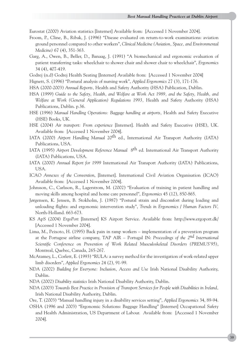Eurostat (2000) Aviation statistics [Internet] Available from: [Accessed 1 November 2004].

- Froom, P., Cline, B., Ribak, J. (1996) "Disease evaluated on return-to-work examinations: aviation ground personnel compared to other workers", *Clinical Medicine (Aviation, Space, and Environmental Medicine)* 67 (4), 351-363.
- Garg, A., Owen, B., Beller, D., Banaag, J. (1991) "A biomechanical and ergonomic evaluation of patient transferring tasks: wheelchair to shower chair and shower chair to wheelchair", *Ergonomics* 34 (4), 407-419.
- Godrej (n.d) Godrej Health Seating [Internet] Available from: [Accessed 1 November 2004]
- Hignett, S. (1996) "Postural analysis of nursing work", *Applied Ergonomics* 27 (3), 171-176.
- HSA (2000-2003) *Annual Reports,* Health and Safety Authority (HSA) Publication, Dublin.
- HSA (1999) *Guide to the Safety, Health, and Welfare at Work Act 1989, and the Safety, Health, and Welfare at Work (General Application) Regulations 1993,* Health and Safety Authority (HSA) Publications, Dublin. p.36.
- HSE (1996) *Manual Handling Operations: Baggage handling at airports,* Health and Safety Executive (HSE) Books, UK.
- HSE (2004) *Air transport: From experience* [Internet]. Health and Safety Executive (HSE), UK. Available from: [Accessed 1 November 2004].
- IATA (2000) *Airport Handling Manual* 20th ed., International Air Transport Authority (IATA) Publications, USA.
- IATA (1995) *Airport Development Reference Manual* 8th ed. International Air Transport Authority (IATA) Publications, USA.
- IATA (2000) *Annual Report for 1999* International Air Transport Authority (IATA) Publications, USA.
- ICAO *Annexes of the Convention*, [Internet]. International Civil Aviation Organisation (ICAO) Available from: [Accessed 1 November 2004].
- Johnsson, C., Carlsson, R., Lagerstrom, M. (2002) "Evaluation of training in patient handling and moving skills among hospital and home care personnel", *Ergonomics* 45 (12), 850-865.
- Jørgensen, K. Jensen, B. Stokholm, J. (1987) "Postural strain and discomfort during loading and unloading flights: and ergonomic intervention study", *Trends in Ergonomics / Human Factors IV,* North-Holland. 663-673.
- KS ApS (2004) *ErgoPort* [Internet] KS Airport Service. Available from: http://www.ergoport.dk/ [Accessed 1 November 2004].
- Lima, M., Peixoto, H. (1995) Back pain in ramp workers implementation of a prevention program at the Portugese airline company, TAP AIR – Portugal IN: *Proceedings of the 2nd International Scientific Conference on Prevention of Work Related Musculoskeletal Disorders (PREMUS'95)*, Montreal, Quebec, Canada, 265-267.
- McAtamey, L., Corlett, E. (1993) "RULA: a survey method for the investigation of work-related upper limb disorders", *Applied Ergonomics* 24 (2), 91-99.
- NDA (2002) *Building for Everyone: Inclusion, Access and Use* Irish National Disability Authority, Dublin.
- NDA (2002) *Disability statistics* Irish National Disability Authority, Dublin.
- NDA (2003) *Towards Best Practice in Provision of Transport Services for People with Disabilities in Ireland,* Irish National Disability Authority, Dublin.
- Ore, T. (2003) "Manual handling injury in a disability services setting", *Applied Ergonomics* 34, 89-94.
- OSHA (1996 and 2003) "Ergonomic Solutions: Baggage Handling" [Internet] Occupational Safety and Health Administration, US Department of Labour. Available from: [Accessed 1 November 2004].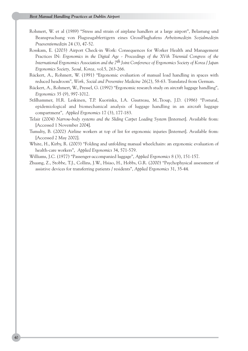- Rohmert, W. et al (1989) "Stress and strain of airplane handlers at a large airport", Belastung und Beanspruchung von Flugzeugabfertigern eines GrossFlughafens *Arbeitsmedizin Sozialmedizin Praeventivmedizin* 24 (3), 47-52.
- Rosskam, E. (2003) Airport Check-in Work: Consequences for Worker Health and Management Practices IN: *Ergonomics in the Digital Age - Proceedings of the XVth Triennial Congress of the International Ergonomics Association and the 7th Joint Conference of Ergonomics Society of Korea / Japan Ergonomics Society, Seoul, Korea,* vol.5, 263-266.
- Rückert, A., Rohmert, W. (1991) "Ergonomic evaluation of manual load handling in spaces with reduced headroom", *Work, Social and Preventive Medicine* 26(2), 58-63. Translated from German.
- Rückert, A., Rohmert, W., Pressel, G. (1992) "Ergonomic research study on aircraft luggage handling", *Ergonomics* 35 (9), 997-1012.
- Stålhammer, H.R. Leskinen, T.P. Kuorinka, I.A. Gautreau, M..Troup, J.D. (1986) "Postural, epidemiological and biomechanical analysis of luggage handling in an aircraft luggage compartment", *Applied Ergonomics* 17 (3), 177-183.
- Telair (2004) *Narrow-body systems and the Sliding Carpet Loading System* [Internet]. Available from: [Accessed 1 November 2004].
- Tumulty, B. (2002) Airline workers at top of list for ergonomic injuries [Internet]. Available from: [Accessed 2 May 2002].
- White, H., Kirby, R. (2003) "Folding and unfolding manual wheelchairs: an ergonomic evaluation of health-care workers", *Applied Ergonomics* 34, 571-579.
- Williams, J.C. (1977) "Passenger-accompanied luggage", *Applied Ergonomics* 8 (3), 151-157.
- Zhuang, Z., Stobbe, T.J., Collins, J.W., Hsiao, H., Hobbs, G.R. (2000) "Psychophysical assessment of assistive devices for transferring patients / residents", *Applied Ergonomics* 31, 35-44.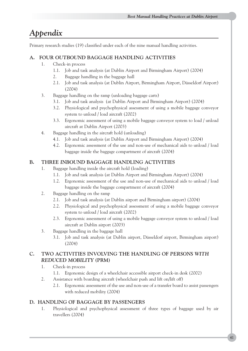# *Appendix*

Primary research studies (19) classified under each of the nine manual handling activities.

# **A. FOUR** *OUTBOUND* **BAGGAGE HANDLING ACTIVITIES**

- 1. Check-in process
	- 1.1. Job and task analysis (at Dublin Airport and Birmingham Airport) (2004)
	- 2. Baggage handling in the baggage hall
	- 2.1. Job and task analysis (at Dublin Airport, Birmingham Airport, Düsseldorf Airport) (2004)
- 3. Baggage handling on the ramp (unloading baggage carts)
	- 3.1. Job and task analysis (at Dublin Airport and Birmingham Airport) (2004)
	- 3.2. Physiological and psychophysical assessment of using a mobile baggage conveyor system to unload / load aircraft (2002)
	- 3.3. Ergonomic assessment of using a mobile baggage conveyor system to load / unload aircraft at Dublin Airport (2003)
- 4. Baggage handling in the aircraft hold (unloading)
	- 4.1. Job and task analysis (at Dublin Airport and Birmingham Airport) (2004)
	- 4.2. Ergonomic assessment of the use and non-use of mechanical aids to unload / load baggage inside the baggage compartment of aircraft (2004)

# **B. THREE** *INBOUND* **BAGGAGE HANDLING ACTIVITIES**

- 1. Baggage handling inside the aircraft hold (loading)
	- 1.1. Job and task analysis (at Dublin Airport and Birmingham Airport) (2004)
	- 1.2. Ergonomic assessment of the use and non-use of mechanical aids to unload / load baggage inside the baggage compartment of aircraft (2004)
- 2. Baggage handling on the ramp
	- 2.1. Job and task analysis (at Dublin airport and Birmingham airport) (2004)
	- 2.2. Physiological and psychophysical assessment of using a mobile baggage conveyor system to unload / load aircraft (2002)
	- 2.3. Ergonomic assessment of using a mobile baggage conveyor system to unload / load aircraft at Dublin airport (2003)
- 3. Baggage handling in the baggage hall
	- 3.1. Job and task analysis (at Dublin airport, Düsseldorf airport, Birmingham airport) (2004)

# **C. TWO ACTIVITIES INVOLVING THE HANDLING OF** *PERSONS WITH REDUCED MOBILITY* **(PRM)**

- 1. Check-in process
	- 1.1. Ergonomic design of a wheelchair accessible airport check-in desk (2002)
- 2. Assistance with boarding aircraft (wheelchair push and lift on/lift off)
	- 2.1. Ergonomic assessment of the use and non-use of a transfer board to assist passengers with reduced mobility (2004)

# **D. HANDLING OF BAGGAGE BY PASSENGERS**

1. Physiological and psychophysical assessment of three types of baggage used by air travellers (2004)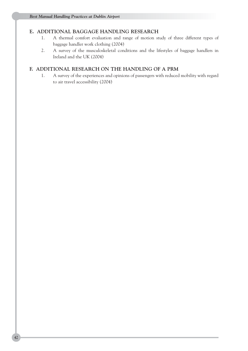## **E. ADDITIONAL BAGGAGE HANDLING RESEARCH**

- 1. A thermal comfort evaluation and range of motion study of three different types of baggage handler work clothing (2004)
- 2. A survey of the musculoskeletal conditions and the lifestyles of baggage handlers in Ireland and the UK (2004)

## **F. ADDITIONAL RESEARCH ON THE HANDLING OF A PRM**

1. A survey of the experiences and opinions of passengers with reduced mobility with regard to air travel accessibility (2004)